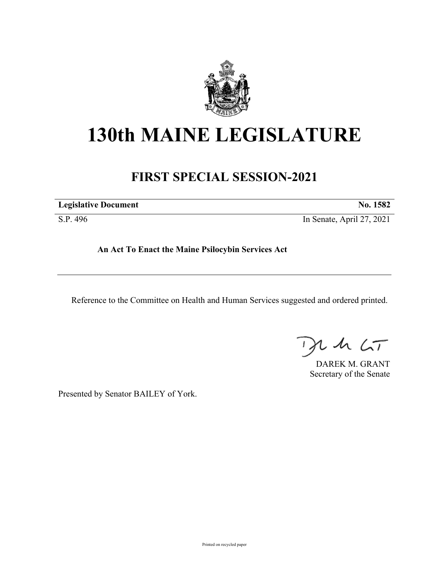

# **130th MAINE LEGISLATURE**

# **FIRST SPECIAL SESSION-2021**

| <b>Legislative Document</b> | No. 1582                  |  |
|-----------------------------|---------------------------|--|
| S.P. 496                    | In Senate, April 27, 2021 |  |

**An Act To Enact the Maine Psilocybin Services Act**

Reference to the Committee on Health and Human Services suggested and ordered printed.

 $2.42 < T$  $\rightarrow$ 

DAREK M. GRANT Secretary of the Senate

Presented by Senator BAILEY of York.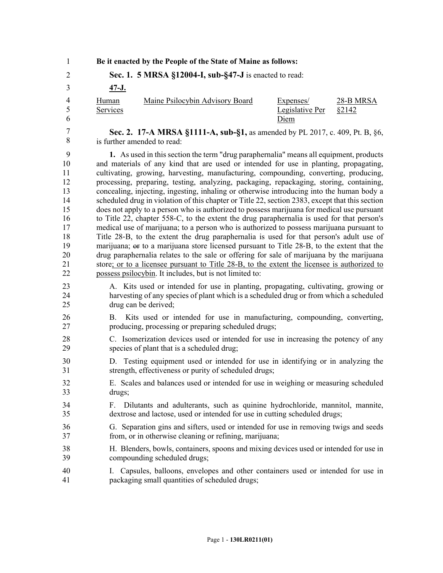| $\mathbf{1}$                                                                    |                   |                                                | Be it enacted by the People of the State of Maine as follows: |                                                                                                                                                                                                                                                                                                                                                                                                                                                                                                                                                                                                                                                                                                                                                                                                                                                                                                                                                                                                                                                                                                                                                                                                                                                 |                     |
|---------------------------------------------------------------------------------|-------------------|------------------------------------------------|---------------------------------------------------------------|-------------------------------------------------------------------------------------------------------------------------------------------------------------------------------------------------------------------------------------------------------------------------------------------------------------------------------------------------------------------------------------------------------------------------------------------------------------------------------------------------------------------------------------------------------------------------------------------------------------------------------------------------------------------------------------------------------------------------------------------------------------------------------------------------------------------------------------------------------------------------------------------------------------------------------------------------------------------------------------------------------------------------------------------------------------------------------------------------------------------------------------------------------------------------------------------------------------------------------------------------|---------------------|
| $\overline{2}$                                                                  |                   |                                                | Sec. 1. 5 MRSA §12004-I, sub-§47-J is enacted to read:        |                                                                                                                                                                                                                                                                                                                                                                                                                                                                                                                                                                                                                                                                                                                                                                                                                                                                                                                                                                                                                                                                                                                                                                                                                                                 |                     |
| 3                                                                               | <u>47-J.</u>      |                                                |                                                               |                                                                                                                                                                                                                                                                                                                                                                                                                                                                                                                                                                                                                                                                                                                                                                                                                                                                                                                                                                                                                                                                                                                                                                                                                                                 |                     |
| $\overline{4}$<br>5<br>6                                                        | Human<br>Services |                                                | Maine Psilocybin Advisory Board                               | Expenses/<br>Legislative Per<br>Diem                                                                                                                                                                                                                                                                                                                                                                                                                                                                                                                                                                                                                                                                                                                                                                                                                                                                                                                                                                                                                                                                                                                                                                                                            | 28-B MRSA<br>\$2142 |
| 7<br>8                                                                          |                   | is further amended to read:                    |                                                               | Sec. 2. 17-A MRSA §1111-A, sub-§1, as amended by PL 2017, c. 409, Pt. B, §6,                                                                                                                                                                                                                                                                                                                                                                                                                                                                                                                                                                                                                                                                                                                                                                                                                                                                                                                                                                                                                                                                                                                                                                    |                     |
| 9<br>10<br>11<br>12<br>13<br>14<br>15<br>16<br>17<br>18<br>19<br>20<br>21<br>22 |                   |                                                | possess psilocybin. It includes, but is not limited to:       | 1. As used in this section the term "drug paraphernalia" means all equipment, products<br>and materials of any kind that are used or intended for use in planting, propagating,<br>cultivating, growing, harvesting, manufacturing, compounding, converting, producing,<br>processing, preparing, testing, analyzing, packaging, repackaging, storing, containing,<br>concealing, injecting, ingesting, inhaling or otherwise introducing into the human body a<br>scheduled drug in violation of this chapter or Title 22, section 2383, except that this section<br>does not apply to a person who is authorized to possess marijuana for medical use pursuant<br>to Title 22, chapter 558-C, to the extent the drug paraphernalia is used for that person's<br>medical use of marijuana; to a person who is authorized to possess marijuana pursuant to<br>Title 28-B, to the extent the drug paraphernalia is used for that person's adult use of<br>marijuana; or to a marijuana store licensed pursuant to Title 28-B, to the extent that the<br>drug paraphernalia relates to the sale or offering for sale of marijuana by the marijuana<br>store; or to a licensee pursuant to Title 28-B, to the extent the licensee is authorized to |                     |
| 23<br>24<br>25                                                                  |                   | drug can be derived;                           |                                                               | A. Kits used or intended for use in planting, propagating, cultivating, growing or<br>harvesting of any species of plant which is a scheduled drug or from which a scheduled                                                                                                                                                                                                                                                                                                                                                                                                                                                                                                                                                                                                                                                                                                                                                                                                                                                                                                                                                                                                                                                                    |                     |
| 26<br>27                                                                        | <b>B</b> .        |                                                | producing, processing or preparing scheduled drugs;           | Kits used or intended for use in manufacturing, compounding, converting,                                                                                                                                                                                                                                                                                                                                                                                                                                                                                                                                                                                                                                                                                                                                                                                                                                                                                                                                                                                                                                                                                                                                                                        |                     |
| 28<br>29                                                                        |                   | species of plant that is a scheduled drug;     |                                                               | C. Isomerization devices used or intended for use in increasing the potency of any                                                                                                                                                                                                                                                                                                                                                                                                                                                                                                                                                                                                                                                                                                                                                                                                                                                                                                                                                                                                                                                                                                                                                              |                     |
| 30<br>31                                                                        |                   |                                                | strength, effectiveness or purity of scheduled drugs;         | D. Testing equipment used or intended for use in identifying or in analyzing the                                                                                                                                                                                                                                                                                                                                                                                                                                                                                                                                                                                                                                                                                                                                                                                                                                                                                                                                                                                                                                                                                                                                                                |                     |
| 32<br>33                                                                        | drugs;            |                                                |                                                               | E. Scales and balances used or intended for use in weighing or measuring scheduled                                                                                                                                                                                                                                                                                                                                                                                                                                                                                                                                                                                                                                                                                                                                                                                                                                                                                                                                                                                                                                                                                                                                                              |                     |
| 34<br>35                                                                        |                   |                                                |                                                               | F. Dilutants and adulterants, such as quinine hydrochloride, mannitol, mannite,<br>dextrose and lactose, used or intended for use in cutting scheduled drugs;                                                                                                                                                                                                                                                                                                                                                                                                                                                                                                                                                                                                                                                                                                                                                                                                                                                                                                                                                                                                                                                                                   |                     |
| 36<br>37                                                                        |                   |                                                | from, or in otherwise cleaning or refining, marijuana;        | G. Separation gins and sifters, used or intended for use in removing twigs and seeds                                                                                                                                                                                                                                                                                                                                                                                                                                                                                                                                                                                                                                                                                                                                                                                                                                                                                                                                                                                                                                                                                                                                                            |                     |
| 38<br>39                                                                        |                   | compounding scheduled drugs;                   |                                                               | H. Blenders, bowls, containers, spoons and mixing devices used or intended for use in                                                                                                                                                                                                                                                                                                                                                                                                                                                                                                                                                                                                                                                                                                                                                                                                                                                                                                                                                                                                                                                                                                                                                           |                     |
| 40<br>41                                                                        | I.                | packaging small quantities of scheduled drugs; |                                                               | Capsules, balloons, envelopes and other containers used or intended for use in                                                                                                                                                                                                                                                                                                                                                                                                                                                                                                                                                                                                                                                                                                                                                                                                                                                                                                                                                                                                                                                                                                                                                                  |                     |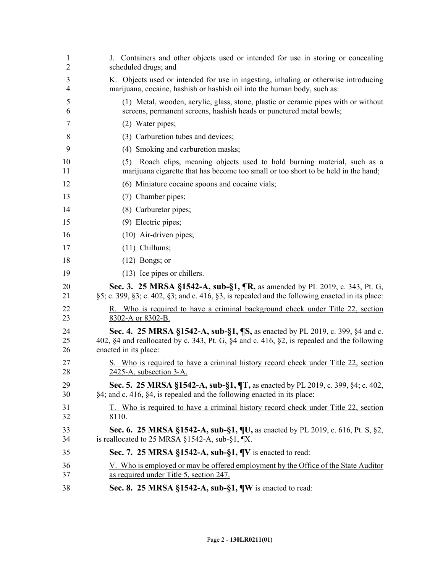| 1<br>$\overline{2}$ | J. Containers and other objects used or intended for use in storing or concealing<br>scheduled drugs; and                                                                                                       |
|---------------------|-----------------------------------------------------------------------------------------------------------------------------------------------------------------------------------------------------------------|
| 3<br>$\overline{4}$ | K. Objects used or intended for use in ingesting, inhaling or otherwise introducing<br>marijuana, cocaine, hashish or hashish oil into the human body, such as:                                                 |
| 5<br>6              | (1) Metal, wooden, acrylic, glass, stone, plastic or ceramic pipes with or without<br>screens, permanent screens, hashish heads or punctured metal bowls;                                                       |
| 7                   | (2) Water pipes;                                                                                                                                                                                                |
| 8                   | (3) Carburetion tubes and devices;                                                                                                                                                                              |
| 9                   | (4) Smoking and carburetion masks;                                                                                                                                                                              |
| 10<br>11            | Roach clips, meaning objects used to hold burning material, such as a<br>(5)<br>marijuana cigarette that has become too small or too short to be held in the hand;                                              |
| 12                  | (6) Miniature cocaine spoons and cocaine vials;                                                                                                                                                                 |
| 13                  | (7) Chamber pipes;                                                                                                                                                                                              |
| 14                  | (8) Carburetor pipes;                                                                                                                                                                                           |
| 15                  | $(9)$ Electric pipes;                                                                                                                                                                                           |
| 16                  | $(10)$ Air-driven pipes;                                                                                                                                                                                        |
| 17                  | $(11)$ Chillums;                                                                                                                                                                                                |
| 18                  | $(12)$ Bongs; or                                                                                                                                                                                                |
| 19                  | (13) Ice pipes or chillers.                                                                                                                                                                                     |
| 20<br>21            | <b>Sec. 3.</b> 25 MRSA §1542-A, sub-§1, $\mathbb{R}$ , as amended by PL 2019, c. 343, Pt. G,<br>$\S5$ ; c. 399, $\S3$ ; c. 402, $\S3$ ; and c. 416, $\S3$ , is repealed and the following enacted in its place: |
| 22<br>23            | R. Who is required to have a criminal background check under Title 22, section<br>8302-A or 8302-B.                                                                                                             |
| 24<br>25<br>26      | Sec. 4. 25 MRSA §1542-A, sub-§1, ¶S, as enacted by PL 2019, c. 399, §4 and c.<br>402, §4 and reallocated by c. 343, Pt. G, §4 and c. 416, §2, is repealed and the following<br>enacted in its place:            |
| 27<br>28            | S. Who is required to have a criminal history record check under Title 22, section<br>2425-A, subsection 3-A.                                                                                                   |
| 29<br>30            | Sec. 5. 25 MRSA §1542-A, sub-§1, ¶T, as enacted by PL 2019, c. 399, §4; c. 402,<br>§4; and c. 416, §4, is repealed and the following enacted in its place:                                                      |
| 31<br>32            | T. Who is required to have a criminal history record check under Title 22, section<br>8110.                                                                                                                     |
| 33<br>34            | Sec. 6. 25 MRSA §1542-A, sub-§1, ¶U, as enacted by PL 2019, c. 616, Pt. S, §2,<br>is reallocated to 25 MRSA $\S$ 1542-A, sub- $\S$ 1, $\mathbb{I}X$ .                                                           |
| 35                  | Sec. 7. 25 MRSA §1542-A, sub-§1, $\P$ V is enacted to read:                                                                                                                                                     |
| 36<br>37            | <u>V. Who is employed or may be offered employment by the Office of the State Auditor</u><br>as required under Title 5, section 247.                                                                            |
| 38                  | Sec. 8. 25 MRSA §1542-A, sub-§1, $\P$ W is enacted to read:                                                                                                                                                     |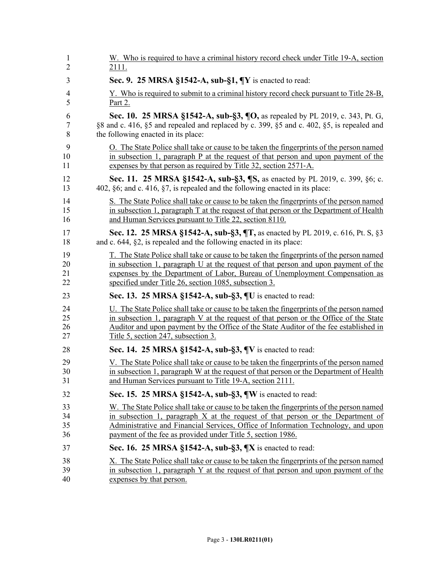| 1              | W. Who is required to have a criminal history record check under Title 19-A, section            |
|----------------|-------------------------------------------------------------------------------------------------|
| $\overline{2}$ | 2111.                                                                                           |
| 3              | Sec. 9. 25 MRSA §1542-A, sub-§1, $\P$ Y is enacted to read:                                     |
| $\overline{4}$ | Y. Who is required to submit to a criminal history record check pursuant to Title 28-B,         |
| 5              | <u>Part 2.</u>                                                                                  |
| 6              | Sec. 10. 25 MRSA §1542-A, sub-§3, ¶O, as repealed by PL 2019, c. 343, Pt. G,                    |
| $\tau$         | §8 and c. 416, §5 and repealed and replaced by c. 399, §5 and c. 402, §5, is repealed and       |
| 8              | the following enacted in its place:                                                             |
| 9              | O. The State Police shall take or cause to be taken the fingerprints of the person named        |
| 10             | in subsection 1, paragraph $P$ at the request of that person and upon payment of the            |
| 11             | expenses by that person as required by Title 32, section 2571-A.                                |
| 12             | <b>Sec. 11. 25 MRSA §1542-A, sub-§3, [S, as enacted by PL 2019, c. 399, §6; c.</b>              |
| 13             | 402, §6; and c. 416, §7, is repealed and the following enacted in its place:                    |
| 14             | S. The State Police shall take or cause to be taken the fingerprints of the person named        |
| 15             | in subsection 1, paragraph $T$ at the request of that person or the Department of Health        |
| 16             | and Human Services pursuant to Title 22, section 8110.                                          |
| 17             | Sec. 12. 25 MRSA §1542-A, sub-§3, ¶T, as enacted by PL 2019, c. 616, Pt. S, §3                  |
| 18             | and c. $644$ , $\S2$ , is repealed and the following enacted in its place:                      |
| 19             | T. The State Police shall take or cause to be taken the fingerprints of the person named        |
| 20             | in subsection 1, paragraph U at the request of that person and upon payment of the              |
| 21             | expenses by the Department of Labor, Bureau of Unemployment Compensation as                     |
| 22             | specified under Title 26, section 1085, subsection 3.                                           |
| 23             | Sec. 13. 25 MRSA §1542-A, sub-§3, ¶U is enacted to read:                                        |
| 24             | U. The State Police shall take or cause to be taken the fingerprints of the person named        |
| 25             | in subsection 1, paragraph V at the request of that person or the Office of the State           |
| 26             | Auditor and upon payment by the Office of the State Auditor of the fee established in           |
| 27             | Title 5, section 247, subsection 3.                                                             |
| 28             | Sec. 14. 25 MRSA §1542-A, sub-§3, ¶V is enacted to read:                                        |
| 29             | <u>V. The State Police shall take or cause to be taken the fingerprints of the person named</u> |
| 30             | in subsection 1, paragraph W at the request of that person or the Department of Health          |
| 31             | and Human Services pursuant to Title 19-A, section 2111.                                        |
| 32             | Sec. 15. 25 MRSA §1542-A, sub-§3, ¶W is enacted to read:                                        |
| 33             | W. The State Police shall take or cause to be taken the fingerprints of the person named        |
| 34             | in subsection 1, paragraph $X$ at the request of that person or the Department of               |
| 35             | Administrative and Financial Services, Office of Information Technology, and upon               |
| 36             | payment of the fee as provided under Title 5, section 1986.                                     |
| 37             | Sec. 16. 25 MRSA §1542-A, sub-§3, ¶X is enacted to read:                                        |
| 38             | X. The State Police shall take or cause to be taken the fingerprints of the person named        |
| 39             | in subsection 1, paragraph Y at the request of that person and upon payment of the              |
| 40             | expenses by that person.                                                                        |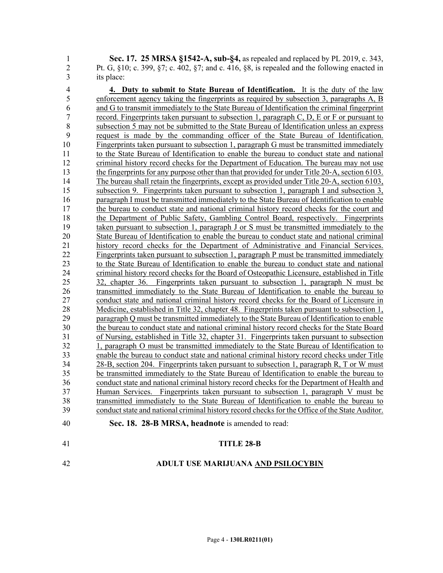1 **Sec. 17. 25 MRSA §1542-A, sub-§4,** as repealed and replaced by PL 2019, c. 343, 2 Pt. G, §10; c. 399, §7; c. 402, §7; and c. 416, §8, is repealed and the following enacted in 3 its place:

4 **4. Duty to submit to State Bureau of Identification.** It is the duty of the law 5 enforcement agency taking the fingerprints as required by subsection 3, paragraphs A, B 6 and G to transmit immediately to the State Bureau of Identification the criminal fingerprint 7 record. Fingerprints taken pursuant to subsection 1, paragraph C, D, E or F or pursuant to 8 subsection 5 may not be submitted to the State Bureau of Identification unless an express 9 request is made by the commanding officer of the State Bureau of Identification. 10 Fingerprints taken pursuant to subsection 1, paragraph G must be transmitted immediately 11 to the State Bureau of Identification to enable the bureau to conduct state and national 12 criminal history record checks for the Department of Education. The bureau may not use 13 the fingerprints for any purpose other than that provided for under Title 20-A, section 6103. 14 The bureau shall retain the fingerprints, except as provided under Title 20-A, section 6103, 15 subsection 9. Fingerprints taken pursuant to subsection 1, paragraph I and subsection 3, 16 paragraph I must be transmitted immediately to the State Bureau of Identification to enable 17 the bureau to conduct state and national criminal history record checks for the court and 18 the Department of Public Safety, Gambling Control Board, respectively. Fingerprints<br>19 taken pursuant to subsection 1, paragraph J or S must be transmitted immediately to the taken pursuant to subsection 1, paragraph J or S must be transmitted immediately to the 20 State Bureau of Identification to enable the bureau to conduct state and national criminal 21 history record checks for the Department of Administrative and Financial Services. 22 Fingerprints taken pursuant to subsection 1, paragraph P must be transmitted immediately 23 to the State Bureau of Identification to enable the bureau to conduct state and national 24 criminal history record checks for the Board of Osteopathic Licensure, established in Title 25 32, chapter 36. Fingerprints taken pursuant to subsection 1, paragraph N must be 26 transmitted immediately to the State Bureau of Identification to enable the bureau to 27 conduct state and national criminal history record checks for the Board of Licensure in 28 Medicine, established in Title 32, chapter 48. Fingerprints taken pursuant to subsection 1, 29 paragraph Q must be transmitted immediately to the State Bureau of Identification to enable 30 the bureau to conduct state and national criminal history record checks for the State Board 31 of Nursing, established in Title 32, chapter 31. Fingerprints taken pursuant to subsection 32 1, paragraph O must be transmitted immediately to the State Bureau of Identification to enable the bureau to conduct state and national criminal history record checks under Title 33 enable the bureau to conduct state and national criminal history record checks under Title 34 28-B, section 204. Fingerprints taken pursuant to subsection 1, paragraph R, T or W must 35 be transmitted immediately to the State Bureau of Identification to enable the bureau to 36 conduct state and national criminal history record checks for the Department of Health and 37 Human Services. Fingerprints taken pursuant to subsection 1, paragraph V must be 38 transmitted immediately to the State Bureau of Identification to enable the bureau to 39 conduct state and national criminal history record checks for the Office of the State Auditor. 40 **Sec. 18. 28-B MRSA, headnote** is amended to read:

## 41 **TITLE 28-B**

## 42 **ADULT USE MARIJUANA AND PSILOCYBIN**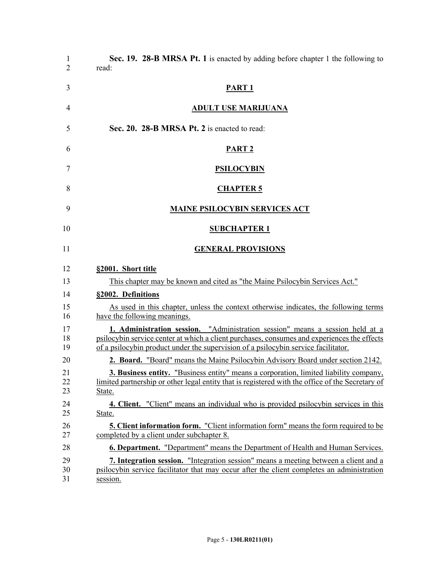| 1<br>$\overline{2}$ | Sec. 19. 28-B MRSA Pt. 1 is enacted by adding before chapter 1 the following to<br>read:                                                                                                                                                                           |
|---------------------|--------------------------------------------------------------------------------------------------------------------------------------------------------------------------------------------------------------------------------------------------------------------|
| 3                   | <b>PART 1</b>                                                                                                                                                                                                                                                      |
| 4                   | <b>ADULT USE MARIJUANA</b>                                                                                                                                                                                                                                         |
| 5                   | Sec. 20. 28-B MRSA Pt. 2 is enacted to read:                                                                                                                                                                                                                       |
| 6                   | PART <sub>2</sub>                                                                                                                                                                                                                                                  |
| 7                   | <b>PSILOCYBIN</b>                                                                                                                                                                                                                                                  |
| 8                   | <b>CHAPTER 5</b>                                                                                                                                                                                                                                                   |
| 9                   | <b>MAINE PSILOCYBIN SERVICES ACT</b>                                                                                                                                                                                                                               |
| 10                  | <b>SUBCHAPTER 1</b>                                                                                                                                                                                                                                                |
| 11                  | <b>GENERAL PROVISIONS</b>                                                                                                                                                                                                                                          |
| 12                  | §2001. Short title                                                                                                                                                                                                                                                 |
| 13                  | This chapter may be known and cited as "the Maine Psilocybin Services Act."                                                                                                                                                                                        |
| 14                  | §2002. Definitions                                                                                                                                                                                                                                                 |
| 15<br>16            | As used in this chapter, unless the context otherwise indicates, the following terms<br>have the following meanings.                                                                                                                                               |
| 17<br>18<br>19      | 1. Administration session. "Administration session" means a session held at a<br>psilocybin service center at which a client purchases, consumes and experiences the effects<br>of a psilocybin product under the supervision of a psilocybin service facilitator. |
| 20                  | <b>2. Board.</b> "Board" means the Maine Psilocybin Advisory Board under section 2142.                                                                                                                                                                             |
| 21<br>22<br>23      | 3. Business entity. "Business entity" means a corporation, limited liability company,<br>limited partnership or other legal entity that is registered with the office of the Secretary of<br>State.                                                                |
| 24<br>25            | 4. Client. "Client" means an individual who is provided psilocybin services in this<br>State.                                                                                                                                                                      |
| 26<br>27            | <b>5. Client information form.</b> "Client information form" means the form required to be<br>completed by a client under subchapter 8.                                                                                                                            |
| 28                  | <b>6. Department.</b> "Department" means the Department of Health and Human Services.                                                                                                                                                                              |
| 29<br>30<br>31      | 7. Integration session. "Integration session" means a meeting between a client and a<br>psilocybin service facilitator that may occur after the client completes an administration<br>session.                                                                     |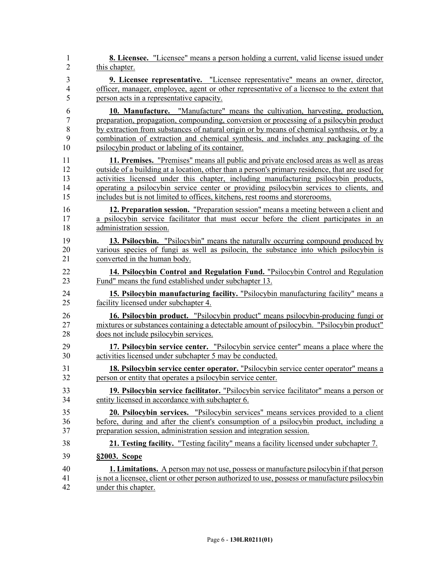| 1              | <b>8. Licensee.</b> "Licensee" means a person holding a current, valid license issued under     |
|----------------|-------------------------------------------------------------------------------------------------|
| $\overline{2}$ | this chapter.                                                                                   |
| 3              | 9. Licensee representative. "Licensee representative" means an owner, director,                 |
| 4              | officer, manager, employee, agent or other representative of a licensee to the extent that      |
| 5              | person acts in a representative capacity.                                                       |
| 6              | <b>10. Manufacture.</b> "Manufacture" means the cultivation, harvesting, production,            |
| $\tau$         | preparation, propagation, compounding, conversion or processing of a psilocybin product         |
| 8              | by extraction from substances of natural origin or by means of chemical synthesis, or by a      |
| 9              | combination of extraction and chemical synthesis, and includes any packaging of the             |
| 10             | psilocybin product or labeling of its container.                                                |
| 11             | 11. Premises. "Premises" means all public and private enclosed areas as well as areas           |
| 12             | outside of a building at a location, other than a person's primary residence, that are used for |
| 13             | activities licensed under this chapter, including manufacturing psilocybin products,            |
| 14             | operating a psilocybin service center or providing psilocybin services to clients, and          |
| 15             | includes but is not limited to offices, kitchens, rest rooms and storerooms.                    |
| 16             | 12. Preparation session. "Preparation session" means a meeting between a client and             |
| 17             | a psilocybin service facilitator that must occur before the client participates in an           |
| 18             | administration session.                                                                         |
| 19             | 13. Psilocybin. "Psilocybin" means the naturally occurring compound produced by                 |
| 20             | various species of fungi as well as psilocin, the substance into which psilocybin is            |
| 21             | converted in the human body.                                                                    |
| 22             | 14. Psilocybin Control and Regulation Fund. "Psilocybin Control and Regulation                  |
| 23             | Fund" means the fund established under subchapter 13.                                           |
| 24             | 15. Psilocybin manufacturing facility. "Psilocybin manufacturing facility" means a              |
| 25             | facility licensed under subchapter 4.                                                           |
| 26             | 16. Psilocybin product. "Psilocybin product" means psilocybin-producing fungi or                |
| 27             | mixtures or substances containing a detectable amount of psilocybin. "Psilocybin product"       |
| 28             | does not include psilocybin services.                                                           |
| 29             | 17. Psilocybin service center. "Psilocybin service center" means a place where the              |
| 30             | activities licensed under subchapter 5 may be conducted.                                        |
| 31             | 18. Psilocybin service center operator. "Psilocybin service center operator" means a            |
| 32             | person or entity that operates a psilocybin service center.                                     |
| 33             | 19. Psilocybin service facilitator. "Psilocybin service facilitator" means a person or          |
| 34             | entity licensed in accordance with subchapter 6.                                                |
| 35             | <b>20. Psilocybin services.</b> "Psilocybin services" means services provided to a client       |
| 36             | before, during and after the client's consumption of a psilocybin product, including a          |
| 37             | preparation session, administration session and integration session.                            |
| 38             | 21. Testing facility. "Testing facility" means a facility licensed under subchapter 7.          |
| 39             | §2003. Scope                                                                                    |
| 40             | <b>1. Limitations.</b> A person may not use, possess or manufacture psilocybin if that person   |
| 41             | is not a licensee, client or other person authorized to use, possess or manufacture psilocybin  |
| 42             | under this chapter.                                                                             |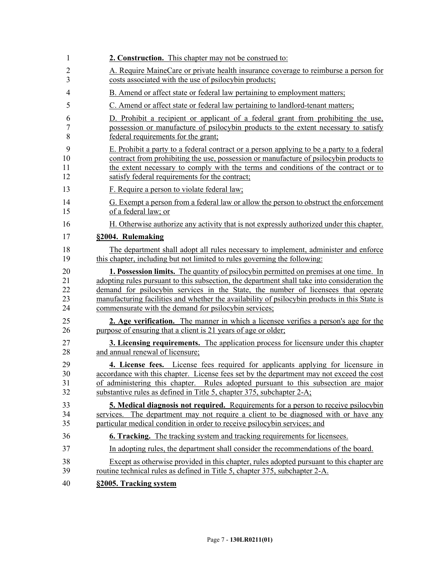| 1              | 2. Construction. This chapter may not be construed to:                                        |
|----------------|-----------------------------------------------------------------------------------------------|
| $\overline{2}$ | A. Require MaineCare or private health insurance coverage to reimburse a person for           |
| 3              | costs associated with the use of psilocybin products;                                         |
| 4              | B. Amend or affect state or federal law pertaining to employment matters;                     |
| 5              | C. Amend or affect state or federal law pertaining to landlord-tenant matters;                |
| 6              | D. Prohibit a recipient or applicant of a federal grant from prohibiting the use,             |
| 7              | possession or manufacture of psilocybin products to the extent necessary to satisfy           |
| 8              | federal requirements for the grant;                                                           |
| 9              | E. Prohibit a party to a federal contract or a person applying to be a party to a federal     |
| 10             | contract from prohibiting the use, possession or manufacture of psilocybin products to        |
| 11             | the extent necessary to comply with the terms and conditions of the contract or to            |
| 12             | satisfy federal requirements for the contract;                                                |
| 13             | F. Require a person to violate federal law;                                                   |
| 14             | G. Exempt a person from a federal law or allow the person to obstruct the enforcement         |
| 15             | of a federal law; or                                                                          |
| 16             | H. Otherwise authorize any activity that is not expressly authorized under this chapter.      |
| 17             | §2004. Rulemaking                                                                             |
| 18             | The department shall adopt all rules necessary to implement, administer and enforce           |
| 19             | this chapter, including but not limited to rules governing the following:                     |
| 20             | <b>1. Possession limits.</b> The quantity of psilocybin permitted on premises at one time. In |
| 21             | adopting rules pursuant to this subsection, the department shall take into consideration the  |
| 22             | demand for psilocybin services in the State, the number of licensees that operate             |
| 23             | manufacturing facilities and whether the availability of psilocybin products in this State is |
| 24             | commensurate with the demand for psilocybin services;                                         |
| 25             | 2. Age verification. The manner in which a licensee verifies a person's age for the           |
| 26             | purpose of ensuring that a client is 21 years of age or older;                                |
| 27             | <b>3. Licensing requirements.</b> The application process for licensure under this chapter    |
| 28             | and annual renewal of licensure;                                                              |
| 29             | 4. License fees. License fees required for applicants applying for licensure in               |
| 30             | accordance with this chapter. License fees set by the department may not exceed the cost      |
| 31             | of administering this chapter. Rules adopted pursuant to this subsection are major            |
| 32             | substantive rules as defined in Title 5, chapter 375, subchapter 2-A;                         |
| 33             | <b>5. Medical diagnosis not required.</b> Requirements for a person to receive psilocybin     |
| 34             | services. The department may not require a client to be diagnosed with or have any            |
| 35             | particular medical condition in order to receive psilocybin services; and                     |
| 36             | <b>6. Tracking.</b> The tracking system and tracking requirements for licensees.              |
| 37             | In adopting rules, the department shall consider the recommendations of the board.            |
| 38             | Except as otherwise provided in this chapter, rules adopted pursuant to this chapter are      |
| 39             | routine technical rules as defined in Title 5, chapter 375, subchapter 2-A.                   |
| 40             | §2005. Tracking system                                                                        |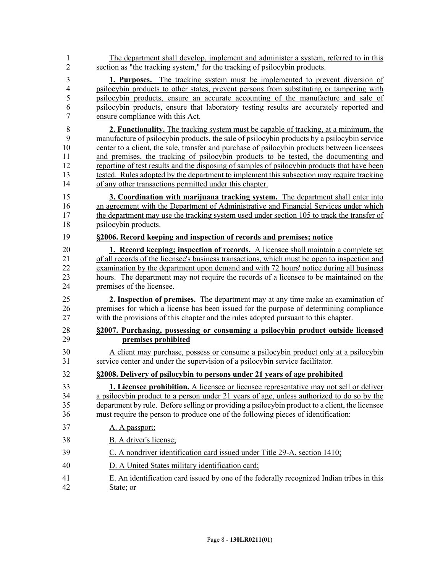| 1              | The department shall develop, implement and administer a system, referred to in this           |
|----------------|------------------------------------------------------------------------------------------------|
| $\overline{2}$ | section as "the tracking system," for the tracking of psilocybin products.                     |
| 3              | 1. Purposes. The tracking system must be implemented to prevent diversion of                   |
| $\overline{4}$ | psilocybin products to other states, prevent persons from substituting or tampering with       |
| 5              | psilocybin products, ensure an accurate accounting of the manufacture and sale of              |
| 6              | psilocybin products, ensure that laboratory testing results are accurately reported and        |
| 7              | ensure compliance with this Act.                                                               |
| 8              | 2. Functionality. The tracking system must be capable of tracking, at a minimum, the           |
| 9              | manufacture of psilocybin products, the sale of psilocybin products by a psilocybin service    |
| 10             | center to a client, the sale, transfer and purchase of psilocybin products between licensees   |
| 11             | and premises, the tracking of psilocybin products to be tested, the documenting and            |
| 12             | reporting of test results and the disposing of samples of psilocybin products that have been   |
| 13             | tested. Rules adopted by the department to implement this subsection may require tracking      |
| 14             | of any other transactions permitted under this chapter.                                        |
| 15             | 3. Coordination with marijuana tracking system. The department shall enter into                |
| 16             | an agreement with the Department of Administrative and Financial Services under which          |
| 17             | the department may use the tracking system used under section 105 to track the transfer of     |
| 18             | psilocybin products.                                                                           |
| 19             | §2006. Record keeping and inspection of records and premises; notice                           |
| 20             | <b>1. Record keeping; inspection of records.</b> A licensee shall maintain a complete set      |
| 21             | of all records of the licensee's business transactions, which must be open to inspection and   |
| 22             | examination by the department upon demand and with 72 hours' notice during all business        |
| 23             | hours. The department may not require the records of a licensee to be maintained on the        |
| 24             | premises of the licensee.                                                                      |
| 25             | 2. Inspection of premises. The department may at any time make an examination of               |
| 26             | premises for which a license has been issued for the purpose of determining compliance         |
| 27             | with the provisions of this chapter and the rules adopted pursuant to this chapter.            |
| 28             | §2007. Purchasing, possessing or consuming a psilocybin product outside licensed               |
| 29             | premises prohibited                                                                            |
| 30             | A client may purchase, possess or consume a psilocybin product only at a psilocybin            |
| 31             | service center and under the supervision of a psilocybin service facilitator.                  |
| 32             | §2008. Delivery of psilocybin to persons under 21 years of age prohibited                      |
| 33             | <b>1. Licensee prohibition.</b> A licensee or licensee representative may not sell or deliver  |
| 34             | a psilocybin product to a person under 21 years of age, unless authorized to do so by the      |
| 35             | department by rule. Before selling or providing a psilocybin product to a client, the licensee |
| 36             | must require the person to produce one of the following pieces of identification:              |
| 37             | A. A passport;                                                                                 |
| 38             | B. A driver's license;                                                                         |
| 39             | C. A nondriver identification card issued under Title 29-A, section 1410;                      |
| 40             | D. A United States military identification card;                                               |
| 41             | E. An identification card issued by one of the federally recognized Indian tribes in this      |
| 42             | State; or                                                                                      |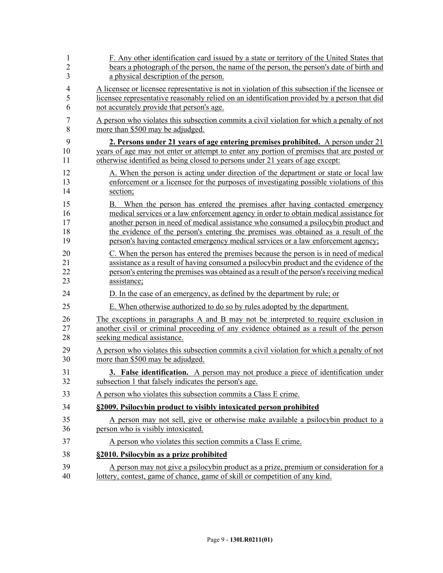| 1              | F. Any other identification card issued by a state or territory of the United States that       |
|----------------|-------------------------------------------------------------------------------------------------|
| $\overline{2}$ | bears a photograph of the person, the name of the person, the person's date of birth and        |
| 3              | a physical description of the person.                                                           |
| 4              | A licensee or licensee representative is not in violation of this subsection if the licensee or |
| 5              | licensee representative reasonably relied on an identification provided by a person that did    |
| 6              | not accurately provide that person's age.                                                       |
| 7              | A person who violates this subsection commits a civil violation for which a penalty of not      |
| 8              | more than \$500 may be adjudged.                                                                |
| 9              | 2. Persons under 21 years of age entering premises prohibited. A person under 21                |
| 10             | years of age may not enter or attempt to enter any portion of premises that are posted or       |
| 11             | otherwise identified as being closed to persons under 21 years of age except:                   |
| 12             | A. When the person is acting under direction of the department or state or local law            |
| 13             | enforcement or a licensee for the purposes of investigating possible violations of this         |
| 14             | section;                                                                                        |
| 15             | B. When the person has entered the premises after having contacted emergency                    |
| 16             | medical services or a law enforcement agency in order to obtain medical assistance for          |
| 17             | another person in need of medical assistance who consumed a psilocybin product and              |
| 18             | the evidence of the person's entering the premises was obtained as a result of the              |
| 19             | person's having contacted emergency medical services or a law enforcement agency;               |
| 20             | C. When the person has entered the premises because the person is in need of medical            |
| 21             | assistance as a result of having consumed a psilocybin product and the evidence of the          |
| 22             | person's entering the premises was obtained as a result of the person's receiving medical       |
| 23             | assistance;                                                                                     |
| 24             | D. In the case of an emergency, as defined by the department by rule; or                        |
| 25             | E. When otherwise authorized to do so by rules adopted by the department.                       |
| 26             | The exceptions in paragraphs A and B may not be interpreted to require exclusion in             |
| 27             | another civil or criminal proceeding of any evidence obtained as a result of the person         |
| 28             | seeking medical assistance.                                                                     |
| 29             | A person who violates this subsection commits a civil violation for which a penalty of not      |
| 30             | more than \$500 may be adjudged.                                                                |
| 31             | <b>3. False identification.</b> A person may not produce a piece of identification under        |
| 32             | subsection 1 that falsely indicates the person's age.                                           |
| 33             | A person who violates this subsection commits a Class E crime.                                  |
| 34             | §2009. Psilocybin product to visibly intoxicated person prohibited                              |
| 35             | A person may not sell, give or otherwise make available a psilocybin product to a               |
| 36             | person who is visibly intoxicated.                                                              |
| 37             | A person who violates this section commits a Class E crime.                                     |
| 38             | §2010. Psilocybin as a prize prohibited                                                         |
| 39             | A person may not give a psilocybin product as a prize, premium or consideration for a           |
| 40             | lottery, contest, game of chance, game of skill or competition of any kind.                     |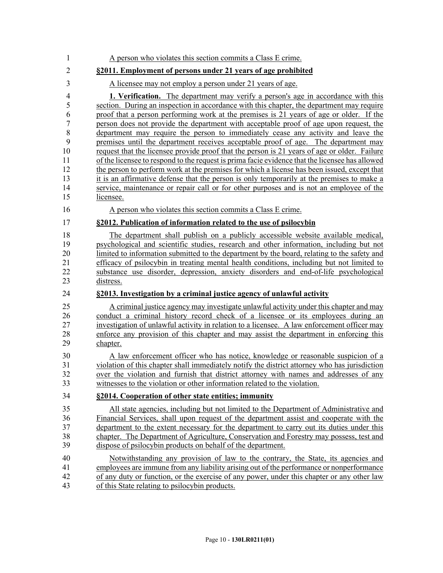| 1              | A person who violates this section commits a Class E crime.                                     |
|----------------|-------------------------------------------------------------------------------------------------|
| $\overline{2}$ | §2011. Employment of persons under 21 years of age prohibited                                   |
| 3              | A licensee may not employ a person under 21 years of age.                                       |
| $\overline{4}$ | <b>1. Verification.</b> The department may verify a person's age in accordance with this        |
| 5              | section. During an inspection in accordance with this chapter, the department may require       |
| 6              | proof that a person performing work at the premises is 21 years of age or older. If the         |
| $\overline{7}$ | person does not provide the department with acceptable proof of age upon request, the           |
| 8              | department may require the person to immediately cease any activity and leave the               |
| 9              | premises until the department receives acceptable proof of age. The department may              |
| 10             | request that the licensee provide proof that the person is 21 years of age or older. Failure    |
| 11             | of the licensee to respond to the request is prima facie evidence that the licensee has allowed |
| 12             | the person to perform work at the premises for which a license has been issued, except that     |
| 13             | it is an affirmative defense that the person is only temporarily at the premises to make a      |
| 14             | service, maintenance or repair call or for other purposes and is not an employee of the         |
| 15             | licensee.                                                                                       |
| 16             | A person who violates this section commits a Class E crime.                                     |
| 17             | §2012. Publication of information related to the use of psilocybin                              |
| 18             | The department shall publish on a publicly accessible website available medical,                |
| 19             | psychological and scientific studies, research and other information, including but not         |
| 20             | limited to information submitted to the department by the board, relating to the safety and     |
| 21             | efficacy of psilocybin in treating mental health conditions, including but not limited to       |
| 22             | substance use disorder, depression, anxiety disorders and end-of-life psychological             |
| 23             | distress.                                                                                       |
| 24             | §2013. Investigation by a criminal justice agency of unlawful activity                          |
| 25             | A criminal justice agency may investigate unlawful activity under this chapter and may          |
| 26             | conduct a criminal history record check of a licensee or its employees during an                |
| 27             | investigation of unlawful activity in relation to a licensee. A law enforcement officer may     |
| 28             | enforce any provision of this chapter and may assist the department in enforcing this           |
| 29             | chapter.                                                                                        |
| 30             | A law enforcement officer who has notice, knowledge or reasonable suspicion of a                |
| 31             | violation of this chapter shall immediately notify the district attorney who has jurisdiction   |
| 32             | over the violation and furnish that district attorney with names and addresses of any           |
| 33             | witnesses to the violation or other information related to the violation.                       |
| 34             | §2014. Cooperation of other state entities; immunity                                            |
| 35             | All state agencies, including but not limited to the Department of Administrative and           |
| 36             | Financial Services, shall upon request of the department assist and cooperate with the          |
| 37             | department to the extent necessary for the department to carry out its duties under this        |
| 38             | chapter. The Department of Agriculture, Conservation and Forestry may possess, test and         |
| 39             | dispose of psilocybin products on behalf of the department.                                     |
| 40             | Notwithstanding any provision of law to the contrary, the State, its agencies and               |
| 41             | employees are immune from any liability arising out of the performance or nonperformance        |
| 42             | of any duty or function, or the exercise of any power, under this chapter or any other law      |
| 43             | of this State relating to psilocybin products.                                                  |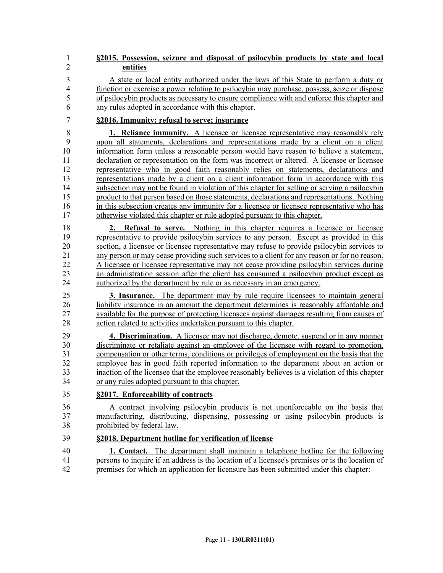## 1 **§2015. Possession, seizure and disposal of psilocybin products by state and local**  2 **entities**

3 A state or local entity authorized under the laws of this State to perform a duty or 4 function or exercise a power relating to psilocybin may purchase, possess, seize or dispose 5 of psilocybin products as necessary to ensure compliance with and enforce this chapter and 6 any rules adopted in accordance with this chapter.

7 **§2016. Immunity; refusal to serve; insurance**

8 **1. Reliance immunity.** A licensee or licensee representative may reasonably rely 9 upon all statements, declarations and representations made by a client on a client 10 information form unless a reasonable person would have reason to believe a statement, 11 declaration or representation on the form was incorrect or altered. A licensee or licensee 12 representative who in good faith reasonably relies on statements, declarations and 13 representations made by a client on a client information form in accordance with this 14 subsection may not be found in violation of this chapter for selling or serving a psilocybin 15 product to that person based on those statements, declarations and representations. Nothing 16 in this subsection creates any immunity for a licensee or licensee representative who has 17 otherwise violated this chapter or rule adopted pursuant to this chapter.

18 **2. Refusal to serve.** Nothing in this chapter requires a licensee or licensee 19 representative to provide psilocybin services to any person. Except as provided in this 20 section, a licensee or licensee representative may refuse to provide psilocybin services to 21 any person or may cease providing such services to a client for any reason or for no reason. 22 A licensee or licensee representative may not cease providing psilocybin services during 23 an administration session after the client has consumed a psilocybin product except as 24 authorized by the department by rule or as necessary in an emergency.

25 **3. Insurance.** The department may by rule require licensees to maintain general 26 liability insurance in an amount the department determines is reasonably affordable and 27 available for the purpose of protecting licensees against damages resulting from causes of 28 action related to activities undertaken pursuant to this chapter.

29 **4. Discrimination.** A licensee may not discharge, demote, suspend or in any manner 30 discriminate or retaliate against an employee of the licensee with regard to promotion, 31 compensation or other terms, conditions or privileges of employment on the basis that the 32 employee has in good faith reported information to the department about an action or 33 inaction of the licensee that the employee reasonably believes is a violation of this chapter 34 or any rules adopted pursuant to this chapter.

35 **§2017. Enforceability of contracts**

36 A contract involving psilocybin products is not unenforceable on the basis that 37 manufacturing, distributing, dispensing, possessing or using psilocybin products is 38 prohibited by federal law.

## 39 **§2018. Department hotline for verification of license**

40 **1. Contact.** The department shall maintain a telephone hotline for the following 41 persons to inquire if an address is the location of a licensee's premises or is the location of 42 premises for which an application for licensure has been submitted under this chapter: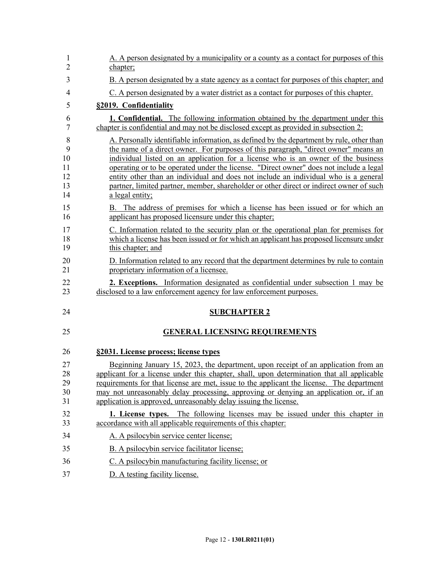| 1<br>$\overline{2}$                  | A. A person designated by a municipality or a county as a contact for purposes of this<br>chapter;                                                                                                                                                                                                                                                                                                                                                                                                                                                                  |
|--------------------------------------|---------------------------------------------------------------------------------------------------------------------------------------------------------------------------------------------------------------------------------------------------------------------------------------------------------------------------------------------------------------------------------------------------------------------------------------------------------------------------------------------------------------------------------------------------------------------|
| 3                                    | B. A person designated by a state agency as a contact for purposes of this chapter; and                                                                                                                                                                                                                                                                                                                                                                                                                                                                             |
| $\overline{4}$                       | C. A person designated by a water district as a contact for purposes of this chapter.                                                                                                                                                                                                                                                                                                                                                                                                                                                                               |
| 5                                    | §2019. Confidentiality                                                                                                                                                                                                                                                                                                                                                                                                                                                                                                                                              |
| 6<br>7                               | 1. Confidential. The following information obtained by the department under this<br>chapter is confidential and may not be disclosed except as provided in subsection 2:                                                                                                                                                                                                                                                                                                                                                                                            |
| 8<br>9<br>10<br>11<br>12<br>13<br>14 | A. Personally identifiable information, as defined by the department by rule, other than<br>the name of a direct owner. For purposes of this paragraph, "direct owner" means an<br>individual listed on an application for a license who is an owner of the business<br>operating or to be operated under the license. "Direct owner" does not include a legal<br>entity other than an individual and does not include an individual who is a general<br>partner, limited partner, member, shareholder or other direct or indirect owner of such<br>a legal entity; |
| 15<br>16                             | B. The address of premises for which a license has been issued or for which an<br>applicant has proposed licensure under this chapter;                                                                                                                                                                                                                                                                                                                                                                                                                              |
| 17<br>18<br>19                       | C. Information related to the security plan or the operational plan for premises for<br>which a license has been issued or for which an applicant has proposed licensure under<br>this chapter; and                                                                                                                                                                                                                                                                                                                                                                 |
| 20<br>21                             | D. Information related to any record that the department determines by rule to contain<br>proprietary information of a licensee.                                                                                                                                                                                                                                                                                                                                                                                                                                    |
| 22<br>23                             | 2. Exceptions. Information designated as confidential under subsection 1 may be<br>disclosed to a law enforcement agency for law enforcement purposes.                                                                                                                                                                                                                                                                                                                                                                                                              |
| 24                                   | <b>SUBCHAPTER 2</b>                                                                                                                                                                                                                                                                                                                                                                                                                                                                                                                                                 |
| 25                                   | <b>GENERAL LICENSING REQUIREMENTS</b>                                                                                                                                                                                                                                                                                                                                                                                                                                                                                                                               |
| 26                                   | §2031. License process; license types                                                                                                                                                                                                                                                                                                                                                                                                                                                                                                                               |
| 27<br>28<br>29<br>30<br>31           | Beginning January 15, 2023, the department, upon receipt of an application from an<br>applicant for a license under this chapter, shall, upon determination that all applicable<br>requirements for that license are met, issue to the applicant the license. The department<br>may not unreasonably delay processing, approving or denying an application or, if an<br>application is approved, unreasonably delay issuing the license.                                                                                                                            |
| 32<br>33                             | 1. License types. The following licenses may be issued under this chapter in<br>accordance with all applicable requirements of this chapter:                                                                                                                                                                                                                                                                                                                                                                                                                        |
| 34                                   | A. A psilocybin service center license;                                                                                                                                                                                                                                                                                                                                                                                                                                                                                                                             |
| 35                                   | B. A psilocybin service facilitator license;                                                                                                                                                                                                                                                                                                                                                                                                                                                                                                                        |
| 36                                   | C. A psilocybin manufacturing facility license; or                                                                                                                                                                                                                                                                                                                                                                                                                                                                                                                  |
| 37                                   | D. A testing facility license.                                                                                                                                                                                                                                                                                                                                                                                                                                                                                                                                      |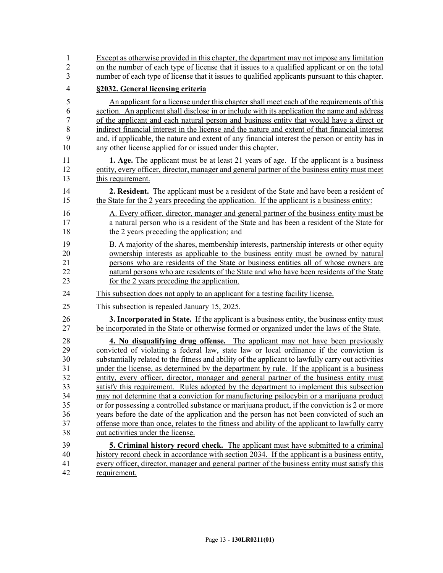| 1              | Except as otherwise provided in this chapter, the department may not impose any limitation         |
|----------------|----------------------------------------------------------------------------------------------------|
| $\overline{2}$ | on the number of each type of license that it issues to a qualified applicant or on the total      |
| 3              | number of each type of license that it issues to qualified applicants pursuant to this chapter.    |
| $\overline{4}$ | §2032. General licensing criteria                                                                  |
| 5              | An applicant for a license under this chapter shall meet each of the requirements of this          |
| 6              | section. An applicant shall disclose in or include with its application the name and address       |
| $\overline{7}$ | of the applicant and each natural person and business entity that would have a direct or           |
| 8              | indirect financial interest in the license and the nature and extent of that financial interest    |
| 9              | and, if applicable, the nature and extent of any financial interest the person or entity has in    |
| 10             | any other license applied for or issued under this chapter.                                        |
| 11             | 1. Age. The applicant must be at least 21 years of age. If the applicant is a business             |
| 12             | entity, every officer, director, manager and general partner of the business entity must meet      |
| 13             | this requirement.                                                                                  |
| 14             | <b>2. Resident.</b> The applicant must be a resident of the State and have been a resident of      |
| 15             | the State for the 2 years preceding the application. If the applicant is a business entity:        |
| 16             | A. Every officer, director, manager and general partner of the business entity must be             |
| 17             | a natural person who is a resident of the State and has been a resident of the State for           |
| 18             | the 2 years preceding the application; and                                                         |
| 19             | B. A majority of the shares, membership interests, partnership interests or other equity           |
| 20             | ownership interests as applicable to the business entity must be owned by natural                  |
| 21             | persons who are residents of the State or business entities all of whose owners are                |
| 22             | natural persons who are residents of the State and who have been residents of the State            |
| 23             | for the 2 years preceding the application.                                                         |
| 24             | This subsection does not apply to an applicant for a testing facility license.                     |
| 25             | This subsection is repealed January 15, 2025.                                                      |
| 26             | <b>3. Incorporated in State.</b> If the applicant is a business entity, the business entity must   |
| 27             | be incorporated in the State or otherwise formed or organized under the laws of the State.         |
| 28             | 4. No disqualifying drug offense. The applicant may not have been previously                       |
| 29             | convicted of violating a federal law, state law or local ordinance if the conviction is            |
| 30             | substantially related to the fitness and ability of the applicant to lawfully carry out activities |
| 31             | under the license, as determined by the department by rule. If the applicant is a business         |
| 32             | entity, every officer, director, manager and general partner of the business entity must           |
| 33             | satisfy this requirement. Rules adopted by the department to implement this subsection             |
| 34             | may not determine that a conviction for manufacturing psilocybin or a marijuana product            |
| 35             | or for possessing a controlled substance or marijuana product, if the conviction is 2 or more      |
| 36             | years before the date of the application and the person has not been convicted of such an          |
| 37             | offense more than once, relates to the fitness and ability of the applicant to lawfully carry      |
| 38             | out activities under the license.                                                                  |
| 39             | <b>5. Criminal history record check.</b> The applicant must have submitted to a criminal           |
| 40             | history record check in accordance with section 2034. If the applicant is a business entity,       |
| 41             | every officer, director, manager and general partner of the business entity must satisfy this      |
| 42             | requirement.                                                                                       |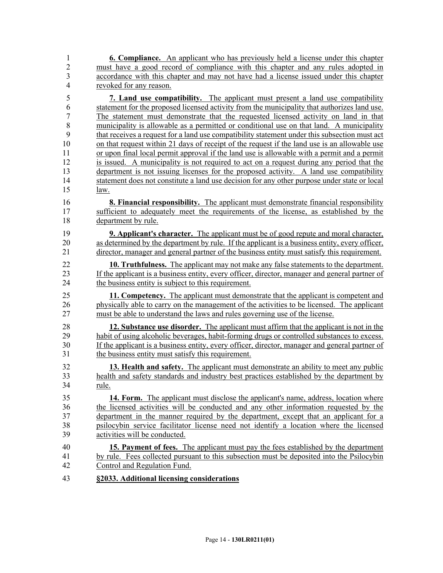1 **6. Compliance.** An applicant who has previously held a license under this chapter 2 must have a good record of compliance with this chapter and any rules adopted in 3 accordance with this chapter and may not have had a license issued under this chapter 4 revoked for any reason.

5 **7. Land use compatibility.** The applicant must present a land use compatibility 6 statement for the proposed licensed activity from the municipality that authorizes land use. 7 The statement must demonstrate that the requested licensed activity on land in that 8 municipality is allowable as a permitted or conditional use on that land. A municipality 9 that receives a request for a land use compatibility statement under this subsection must act 10 on that request within 21 days of receipt of the request if the land use is an allowable use 11 or upon final local permit approval if the land use is allowable with a permit and a permit 12 is issued. A municipality is not required to act on a request during any period that the 13 department is not issuing licenses for the proposed activity. A land use compatibility 14 statement does not constitute a land use decision for any other purpose under state or local 15 law.

16 **8. Financial responsibility.** The applicant must demonstrate financial responsibility 17 sufficient to adequately meet the requirements of the license, as established by the 18 department by rule.

19 **9. Applicant's character.** The applicant must be of good repute and moral character, 20 as determined by the department by rule. If the applicant is a business entity, every officer, 21 director, manager and general partner of the business entity must satisfy this requirement.

22 **10. Truthfulness.** The applicant may not make any false statements to the department. 23 If the applicant is a business entity, every officer, director, manager and general partner of the business entity is subject to this requirement. the business entity is subject to this requirement.

25 **11. Competency.** The applicant must demonstrate that the applicant is competent and 26 physically able to carry on the management of the activities to be licensed. The applicant 27 must be able to understand the laws and rules governing use of the license.

28 **12. Substance use disorder.** The applicant must affirm that the applicant is not in the 29 habit of using alcoholic beverages, habit-forming drugs or controlled substances to excess. 30 If the applicant is a business entity, every officer, director, manager and general partner of 31 the business entity must satisfy this requirement.

32 **13. Health and safety.** The applicant must demonstrate an ability to meet any public 33 health and safety standards and industry best practices established by the department by 34 rule.

35 **14. Form.** The applicant must disclose the applicant's name, address, location where 36 the licensed activities will be conducted and any other information requested by the 37 department in the manner required by the department, except that an applicant for a 38 psilocybin service facilitator license need not identify a location where the licensed 39 activities will be conducted.

- 40 **15. Payment of fees.** The applicant must pay the fees established by the department 41 by rule. Fees collected pursuant to this subsection must be deposited into the Psilocybin 42 Control and Regulation Fund.
- 43 **§2033. Additional licensing considerations**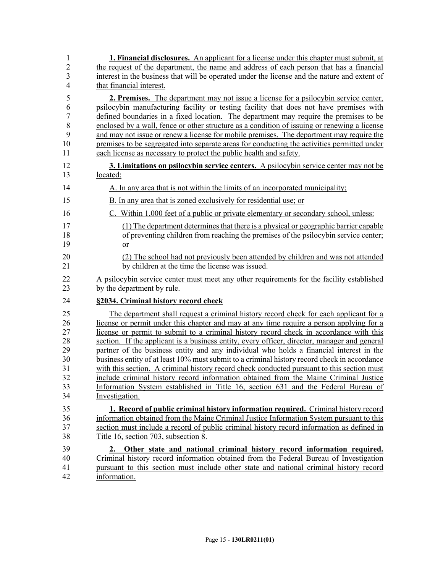| 1                    | <b>1. Financial disclosures.</b> An applicant for a license under this chapter must submit, at                                                                                                                                                                                  |
|----------------------|---------------------------------------------------------------------------------------------------------------------------------------------------------------------------------------------------------------------------------------------------------------------------------|
| $\overline{2}$       | the request of the department, the name and address of each person that has a financial                                                                                                                                                                                         |
| 3                    | interest in the business that will be operated under the license and the nature and extent of                                                                                                                                                                                   |
| $\overline{4}$       | that financial interest.                                                                                                                                                                                                                                                        |
| 5                    | <b>2. Premises.</b> The department may not issue a license for a psilocybin service center,                                                                                                                                                                                     |
| 6                    | psilocybin manufacturing facility or testing facility that does not have premises with                                                                                                                                                                                          |
| $\overline{7}$       | defined boundaries in a fixed location. The department may require the premises to be                                                                                                                                                                                           |
| 8                    | enclosed by a wall, fence or other structure as a condition of issuing or renewing a license                                                                                                                                                                                    |
| 9                    | and may not issue or renew a license for mobile premises. The department may require the                                                                                                                                                                                        |
| 10                   | premises to be segregated into separate areas for conducting the activities permitted under                                                                                                                                                                                     |
| 11                   | each license as necessary to protect the public health and safety.                                                                                                                                                                                                              |
| 12                   | 3. Limitations on psilocybin service centers. A psilocybin service center may not be                                                                                                                                                                                            |
| 13                   | located:                                                                                                                                                                                                                                                                        |
| 14<br>15<br>16       | A. In any area that is not within the limits of an incorporated municipality;<br>B. In any area that is zoned exclusively for residential use; or                                                                                                                               |
| 17<br>18<br>19       | C. Within 1,000 feet of a public or private elementary or secondary school, unless:<br>(1) The department determines that there is a physical or geographic barrier capable<br>of preventing children from reaching the premises of the psilocybin service center;<br>or        |
| 20                   | (2) The school had not previously been attended by children and was not attended                                                                                                                                                                                                |
| 21                   | by children at the time the license was issued.                                                                                                                                                                                                                                 |
| 22                   | A psilocybin service center must meet any other requirements for the facility established                                                                                                                                                                                       |
| 23                   | by the department by rule.                                                                                                                                                                                                                                                      |
| 24                   | §2034. Criminal history record check                                                                                                                                                                                                                                            |
| 25                   | The department shall request a criminal history record check for each applicant for a                                                                                                                                                                                           |
| 26                   | license or permit under this chapter and may at any time require a person applying for a                                                                                                                                                                                        |
| 27                   | license or permit to submit to a criminal history record check in accordance with this                                                                                                                                                                                          |
| 28                   | section. If the applicant is a business entity, every officer, director, manager and general                                                                                                                                                                                    |
| 29                   | partner of the business entity and any individual who holds a financial interest in the                                                                                                                                                                                         |
| 30                   | business entity of at least 10% must submit to a criminal history record check in accordance                                                                                                                                                                                    |
| 31                   | with this section. A criminal history record check conducted pursuant to this section must                                                                                                                                                                                      |
| 32                   | include criminal history record information obtained from the Maine Criminal Justice                                                                                                                                                                                            |
| 33                   | Information System established in Title 16, section 631 and the Federal Bureau of                                                                                                                                                                                               |
| 34                   | Investigation.                                                                                                                                                                                                                                                                  |
| 35                   | 1. Record of public criminal history information required. Criminal history record                                                                                                                                                                                              |
| 36                   | information obtained from the Maine Criminal Justice Information System pursuant to this                                                                                                                                                                                        |
| 37                   | section must include a record of public criminal history record information as defined in                                                                                                                                                                                       |
| 38                   | Title 16, section 703, subsection 8.                                                                                                                                                                                                                                            |
| 39<br>40<br>41<br>42 | Other state and national criminal history record information required.<br>2.<br>Criminal history record information obtained from the Federal Bureau of Investigation<br>pursuant to this section must include other state and national criminal history record<br>information. |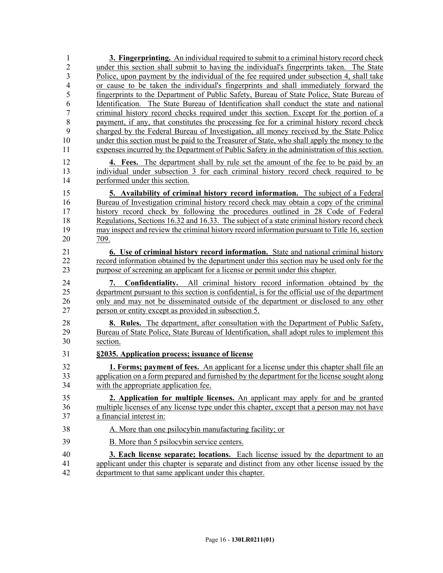| 1                   | 3. Fingerprinting. An individual required to submit to a criminal history record check                                                                                              |
|---------------------|-------------------------------------------------------------------------------------------------------------------------------------------------------------------------------------|
| $\overline{2}$      | under this section shall submit to having the individual's fingerprints taken. The State                                                                                            |
| 3                   | Police, upon payment by the individual of the fee required under subsection 4, shall take                                                                                           |
| $\overline{4}$      | or cause to be taken the individual's fingerprints and shall immediately forward the                                                                                                |
| 5                   | fingerprints to the Department of Public Safety, Bureau of State Police, State Bureau of                                                                                            |
| 6<br>$\overline{7}$ | Identification. The State Bureau of Identification shall conduct the state and national                                                                                             |
| 8                   | criminal history record checks required under this section. Except for the portion of a<br>payment, if any, that constitutes the processing fee for a criminal history record check |
| 9                   | charged by the Federal Bureau of Investigation, all money received by the State Police                                                                                              |
| 10                  | under this section must be paid to the Treasurer of State, who shall apply the money to the                                                                                         |
| 11                  | expenses incurred by the Department of Public Safety in the administration of this section.                                                                                         |
| 12                  | <b>4.</b> Fees. The department shall by rule set the amount of the fee to be paid by an                                                                                             |
| 13                  | individual under subsection 3 for each criminal history record check required to be                                                                                                 |
| 14                  | performed under this section.                                                                                                                                                       |
| 15                  | 5. Availability of criminal history record information. The subject of a Federal                                                                                                    |
| 16                  | Bureau of Investigation criminal history record check may obtain a copy of the criminal                                                                                             |
| 17                  | history record check by following the procedures outlined in 28 Code of Federal                                                                                                     |
| 18                  | Regulations, Sections 16.32 and 16.33. The subject of a state criminal history record check                                                                                         |
| 19                  | may inspect and review the criminal history record information pursuant to Title 16, section                                                                                        |
| 20                  | 709.                                                                                                                                                                                |
| 21                  | 6. Use of criminal history record information. State and national criminal history                                                                                                  |
| 22                  | record information obtained by the department under this section may be used only for the                                                                                           |
| 23                  | purpose of screening an applicant for a license or permit under this chapter.                                                                                                       |
| 24                  | <b>Confidentiality.</b> All criminal history record information obtained by the                                                                                                     |
| 25                  | department pursuant to this section is confidential, is for the official use of the department                                                                                      |
| 26                  | only and may not be disseminated outside of the department or disclosed to any other                                                                                                |
| 27                  | person or entity except as provided in subsection 5.                                                                                                                                |
| 28                  | <b>8. Rules.</b> The department, after consultation with the Department of Public Safety,                                                                                           |
| 29                  | Bureau of State Police, State Bureau of Identification, shall adopt rules to implement this                                                                                         |
| 30                  | section.                                                                                                                                                                            |
| 31                  | §2035. Application process; issuance of license                                                                                                                                     |
| 32                  | <b>1. Forms; payment of fees.</b> An applicant for a license under this chapter shall file an                                                                                       |
| 33                  | application on a form prepared and furnished by the department for the license sought along                                                                                         |
| 34                  | with the appropriate application fee.                                                                                                                                               |
| 35                  | 2. Application for multiple licenses. An applicant may apply for and be granted                                                                                                     |
| 36                  | multiple licenses of any license type under this chapter, except that a person may not have                                                                                         |
| 37                  | a financial interest in:                                                                                                                                                            |
| 38                  | A. More than one psilocybin manufacturing facility; or                                                                                                                              |
| 39                  | B. More than 5 psilocybin service centers.                                                                                                                                          |
| 40                  | 3. Each license separate; locations. Each license issued by the department to an                                                                                                    |
| 41                  | applicant under this chapter is separate and distinct from any other license issued by the                                                                                          |
| 42                  | department to that same applicant under this chapter.                                                                                                                               |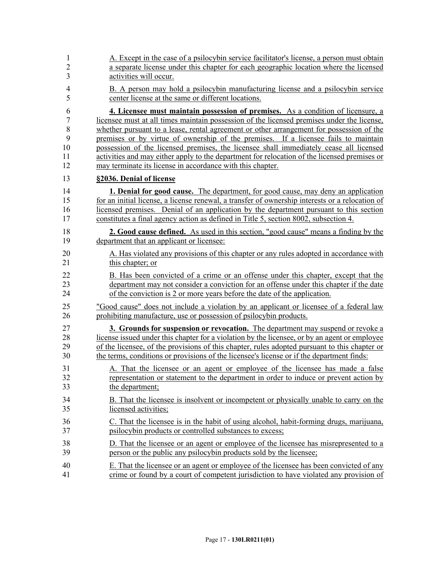| $\mathbf{1}$   | A. Except in the case of a psilocybin service facilitator's license, a person must obtain       |
|----------------|-------------------------------------------------------------------------------------------------|
| $\overline{2}$ | a separate license under this chapter for each geographic location where the licensed           |
| 3              | activities will occur.                                                                          |
| $\overline{4}$ | B. A person may hold a psilocybin manufacturing license and a psilocybin service                |
| 5              | center license at the same or different locations.                                              |
| 6              | 4. Licensee must maintain possession of premises. As a condition of licensure, a                |
| 7              | licensee must at all times maintain possession of the licensed premises under the license,      |
| 8              | whether pursuant to a lease, rental agreement or other arrangement for possession of the        |
| 9              | premises or by virtue of ownership of the premises. If a licensee fails to maintain             |
| 10             | possession of the licensed premises, the licensee shall immediately cease all licensed          |
| 11             | activities and may either apply to the department for relocation of the licensed premises or    |
| 12             | may terminate its license in accordance with this chapter.                                      |
| 13             | §2036. Denial of license                                                                        |
| 14             | <b>1. Denial for good cause.</b> The department, for good cause, may deny an application        |
| 15             | for an initial license, a license renewal, a transfer of ownership interests or a relocation of |
| 16             | licensed premises. Denial of an application by the department pursuant to this section          |
| 17             | constitutes a final agency action as defined in Title 5, section 8002, subsection 4.            |
| 18             | <b>2. Good cause defined.</b> As used in this section, "good cause" means a finding by the      |
| 19             | department that an applicant or licensee:                                                       |
| 20             | A. Has violated any provisions of this chapter or any rules adopted in accordance with          |
| 21             | this chapter; or                                                                                |
| 22             | B. Has been convicted of a crime or an offense under this chapter, except that the              |
| 23             | department may not consider a conviction for an offense under this chapter if the date          |
| 24             | of the conviction is 2 or more years before the date of the application.                        |
| 25             | "Good cause" does not include a violation by an applicant or licensee of a federal law          |
| 26             | prohibiting manufacture, use or possession of psilocybin products.                              |
| 27             | 3. Grounds for suspension or revocation. The department may suspend or revoke a                 |
| 28             | license issued under this chapter for a violation by the licensee, or by an agent or employee   |
| 29             | of the licensee, of the provisions of this chapter, rules adopted pursuant to this chapter or   |
| 30             | the terms, conditions or provisions of the licensee's license or if the department finds:       |
| 31             | A. That the licensee or an agent or employee of the licensee has made a false                   |
| 32             | representation or statement to the department in order to induce or prevent action by           |
| 33             | the department;                                                                                 |
| 34             | B. That the licensee is insolvent or incompetent or physically unable to carry on the           |
| 35             | licensed activities;                                                                            |
| 36             | C. That the licensee is in the habit of using alcohol, habit-forming drugs, marijuana,          |
| 37             | psilocybin products or controlled substances to excess;                                         |
| 38             | D. That the licensee or an agent or employee of the licensee has misrepresented to a            |
| 39             | person or the public any psilocybin products sold by the licensee;                              |
| 40             | E. That the licensee or an agent or employee of the licensee has been convicted of any          |
| 41             | crime or found by a court of competent jurisdiction to have violated any provision of           |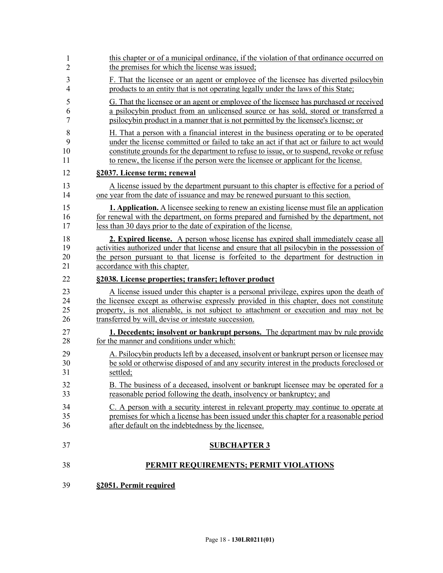| 1              | this chapter or of a municipal ordinance, if the violation of that ordinance occurred on        |
|----------------|-------------------------------------------------------------------------------------------------|
| $\overline{2}$ | the premises for which the license was issued;                                                  |
| 3              | F. That the licensee or an agent or employee of the licensee has diverted psilocybin            |
| $\overline{4}$ | products to an entity that is not operating legally under the laws of this State;               |
| 5              | G. That the licensee or an agent or employee of the licensee has purchased or received          |
| 6              | a psilocybin product from an unlicensed source or has sold, stored or transferred a             |
| 7              | psilocybin product in a manner that is not permitted by the licensee's license; or              |
| 8              | H. That a person with a financial interest in the business operating or to be operated          |
| 9              | under the license committed or failed to take an act if that act or failure to act would        |
| 10             | constitute grounds for the department to refuse to issue, or to suspend, revoke or refuse       |
| 11             | to renew, the license if the person were the licensee or applicant for the license.             |
| 12             | §2037. License term; renewal                                                                    |
| 13             | A license issued by the department pursuant to this chapter is effective for a period of        |
| 14             | one year from the date of issuance and may be renewed pursuant to this section.                 |
| 15             | <b>1. Application.</b> A licensee seeking to renew an existing license must file an application |
| 16             | for renewal with the department, on forms prepared and furnished by the department, not         |
| 17             | less than 30 days prior to the date of expiration of the license.                               |
| 18             | 2. Expired license. A person whose license has expired shall immediately cease all              |
| 19             | activities authorized under that license and ensure that all psilocybin in the possession of    |
| 20             | the person pursuant to that license is forfeited to the department for destruction in           |
| 21             | accordance with this chapter.                                                                   |
| 22             | §2038. License properties; transfer; leftover product                                           |
| 23             | A license issued under this chapter is a personal privilege, expires upon the death of          |
| 24             | the licensee except as otherwise expressly provided in this chapter, does not constitute        |
| 25             | property, is not alienable, is not subject to attachment or execution and may not be            |
| 26             | transferred by will, devise or intestate succession.                                            |
| 27             | 1. Decedents; insolvent or bankrupt persons. The department may by rule provide                 |
| 28             | for the manner and conditions under which:                                                      |
| 29             | A. Psilocybin products left by a deceased, insolvent or bankrupt person or licensee may         |
| 30             | be sold or otherwise disposed of and any security interest in the products foreclosed or        |
| 31             | settled;                                                                                        |
| 32             | B. The business of a deceased, insolvent or bankrupt licensee may be operated for a             |
| 33             | reasonable period following the death, insolvency or bankruptcy; and                            |
| 34             | C. A person with a security interest in relevant property may continue to operate at            |
| 35             | premises for which a license has been issued under this chapter for a reasonable period         |
| 36             | after default on the indebtedness by the licensee.                                              |
| 37             | <b>SUBCHAPTER 3</b>                                                                             |
| 38             | PERMIT REQUIREMENTS; PERMIT VIOLATIONS                                                          |
| 39             | §2051. Permit required                                                                          |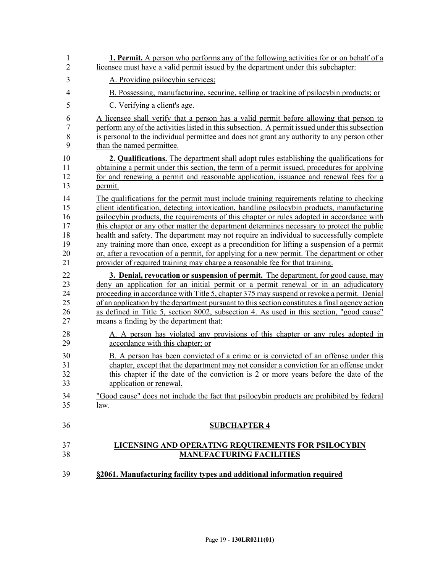| 39             | §2061. Manufacturing facility types and additional information required                        |
|----------------|------------------------------------------------------------------------------------------------|
| 37             | LICENSING AND OPERATING REQUIREMENTS FOR PSILOCYBIN                                            |
| 38             | <b>MANUFACTURING FACILITIES</b>                                                                |
| 36             | <b>SUBCHAPTER 4</b>                                                                            |
| 34             | "Good cause" does not include the fact that psilocybin products are prohibited by federal      |
| 35             | <u>law.</u>                                                                                    |
| 32             | this chapter if the date of the conviction is 2 or more years before the date of the           |
| 33             | application or renewal.                                                                        |
| 30             | B. A person has been convicted of a crime or is convicted of an offense under this             |
| 31             | chapter, except that the department may not consider a conviction for an offense under         |
| 28             | A. A person has violated any provisions of this chapter or any rules adopted in                |
| 29             | accordance with this chapter; or                                                               |
| 22             | 3. Denial, revocation or suspension of permit. The department, for good cause, may             |
| 23             | deny an application for an initial permit or a permit renewal or in an adjudicatory            |
| 24             | proceeding in accordance with Title 5, chapter 375 may suspend or revoke a permit. Denial      |
| 25             | of an application by the department pursuant to this section constitutes a final agency action |
| 26             | as defined in Title 5, section 8002, subsection 4. As used in this section, "good cause"       |
| 27             | means a finding by the department that:                                                        |
| 19             | any training more than once, except as a precondition for lifting a suspension of a permit     |
| 20             | or, after a revocation of a permit, for applying for a new permit. The department or other     |
| 21             | provider of required training may charge a reasonable fee for that training.                   |
| 14             | The qualifications for the permit must include training requirements relating to checking      |
| 15             | client identification, detecting intoxication, handling psilocybin products, manufacturing     |
| 16             | psilocybin products, the requirements of this chapter or rules adopted in accordance with      |
| 17             | this chapter or any other matter the department determines necessary to protect the public     |
| 18             | health and safety. The department may not require an individual to successfully complete       |
| 10             | 2. Qualifications. The department shall adopt rules establishing the qualifications for        |
| 11             | obtaining a permit under this section, the term of a permit issued, procedures for applying    |
| 12             | for and renewing a permit and reasonable application, issuance and renewal fees for a          |
| 13             | permit.                                                                                        |
| 6              | A licensee shall verify that a person has a valid permit before allowing that person to        |
| 7              | perform any of the activities listed in this subsection. A permit issued under this subsection |
| 8              | is personal to the individual permittee and does not grant any authority to any person other   |
| 9              | than the named permittee.                                                                      |
| 5              | C. Verifying a client's age.                                                                   |
| $\overline{4}$ | B. Possessing, manufacturing, securing, selling or tracking of psilocybin products; or         |
| $\overline{2}$ | licensee must have a valid permit issued by the department under this subchapter:              |
| 3              | A. Providing psilocybin services;                                                              |
| $\mathbf{1}$   | <b>1. Permit.</b> A person who performs any of the following activities for or on behalf of a  |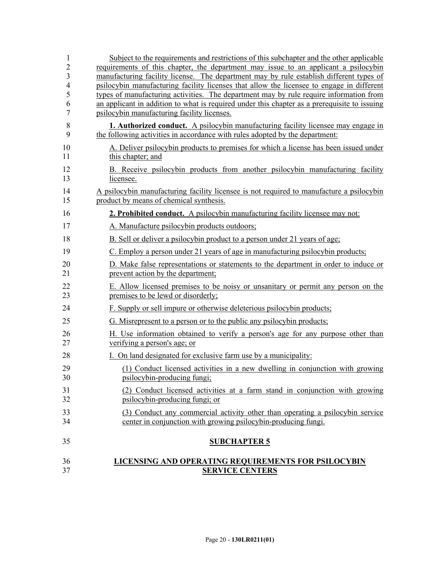| 37                  | <b>SERVICE CENTERS</b>                                                                                                                                                                 |
|---------------------|----------------------------------------------------------------------------------------------------------------------------------------------------------------------------------------|
| 36                  | LICENSING AND OPERATING REQUIREMENTS FOR PSILOCYBIN                                                                                                                                    |
| 35                  | <b>SUBCHAPTER 5</b>                                                                                                                                                                    |
| 33<br>34            | (3) Conduct any commercial activity other than operating a psilocybin service<br>center in conjunction with growing psilocybin-producing fungi.                                        |
| 31<br>32            | (2) Conduct licensed activities at a farm stand in conjunction with growing<br>psilocybin-producing fungi; or                                                                          |
| 30                  | psilocybin-producing fungi;                                                                                                                                                            |
| 29                  | (1) Conduct licensed activities in a new dwelling in conjunction with growing                                                                                                          |
| 27<br>28            | verifying a person's age; or<br>I. On land designated for exclusive farm use by a municipality:                                                                                        |
| 26                  | H. Use information obtained to verify a person's age for any purpose other than                                                                                                        |
| 25                  | G. Misrepresent to a person or to the public any psilocybin products;                                                                                                                  |
| 24                  | F. Supply or sell impure or otherwise deleterious psilocybin products;                                                                                                                 |
| 22<br>23            | E. Allow licensed premises to be noisy or unsanitary or permit any person on the<br>premises to be lewd or disorderly;                                                                 |
| 20<br>21            | D. Make false representations or statements to the department in order to induce or<br>prevent action by the department;                                                               |
| 19                  | C. Employ a person under 21 years of age in manufacturing psilocybin products;                                                                                                         |
| 18                  | B. Sell or deliver a psilocybin product to a person under 21 years of age;                                                                                                             |
| 17                  | A. Manufacture psilocybin products outdoors;                                                                                                                                           |
| 16                  | 2. Prohibited conduct. A psilocybin manufacturing facility licensee may not:                                                                                                           |
| 14<br>15            | A psilocybin manufacturing facility licensee is not required to manufacture a psilocybin<br>product by means of chemical synthesis.                                                    |
| 12<br>13            | B. Receive psilocybin products from another psilocybin manufacturing facility<br>licensee.                                                                                             |
| 10<br>11            | A. Deliver psilocybin products to premises for which a license has been issued under<br>this chapter; and                                                                              |
| $\,$ $\,$<br>9      | <b>1. Authorized conduct.</b> A psilocybin manufacturing facility licensee may engage in<br>the following activities in accordance with rules adopted by the department:               |
| 7                   | psilocybin manufacturing facility licenses.                                                                                                                                            |
| 5<br>6              | types of manufacturing activities. The department may by rule require information from<br>an applicant in addition to what is required under this chapter as a prerequisite to issuing |
| $\overline{4}$      | psilocybin manufacturing facility licenses that allow the licensee to engage in different                                                                                              |
| $\overline{2}$<br>3 | requirements of this chapter, the department may issue to an applicant a psilocybin<br>manufacturing facility license. The department may by rule establish different types of         |
| 1                   | Subject to the requirements and restrictions of this subchapter and the other applicable                                                                                               |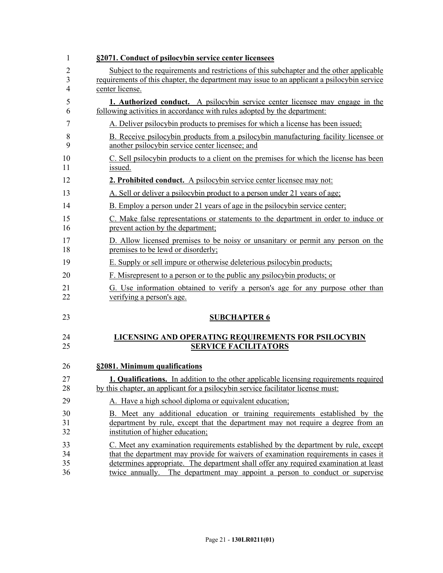| 1  | §2071. Conduct of psilocybin service center licensees                                       |
|----|---------------------------------------------------------------------------------------------|
| 2  | Subject to the requirements and restrictions of this subchapter and the other applicable    |
| 3  | requirements of this chapter, the department may issue to an applicant a psilocybin service |
| 4  | center license.                                                                             |
| 5  | <b>1. Authorized conduct.</b> A psilocybin service center licensee may engage in the        |
| 6  | following activities in accordance with rules adopted by the department:                    |
| 7  | A. Deliver psilocybin products to premises for which a license has been issued;             |
| 8  | B. Receive psilocybin products from a psilocybin manufacturing facility licensee or         |
| 9  | another psilocybin service center licensee; and                                             |
| 10 | C. Sell psilocybin products to a client on the premises for which the license has been      |
| 11 | issued.                                                                                     |
| 12 | <b>2. Prohibited conduct.</b> A psilocybin service center licensee may not:                 |
| 13 | A. Sell or deliver a psilocybin product to a person under 21 years of age;                  |
| 14 | B. Employ a person under 21 years of age in the psilocybin service center;                  |
| 15 | C. Make false representations or statements to the department in order to induce or         |
| 16 | prevent action by the department;                                                           |
| 17 | D. Allow licensed premises to be noisy or unsanitary or permit any person on the            |
| 18 | premises to be lewd or disorderly;                                                          |
| 19 | E. Supply or sell impure or otherwise deleterious psilocybin products;                      |
| 20 | F. Misrepresent to a person or to the public any psilocybin products; or                    |
| 21 | G. Use information obtained to verify a person's age for any purpose other than             |
| 22 | verifying a person's age.                                                                   |
| 23 | <b>SUBCHAPTER 6</b>                                                                         |
| 24 | LICENSING AND OPERATING REQUIREMENTS FOR PSILOCYBIN                                         |
| 25 | <b>SERVICE FACILITATORS</b>                                                                 |
| 26 | §2081. Minimum qualifications                                                               |
| 27 | 1. Qualifications. In addition to the other applicable licensing requirements required      |
| 28 | by this chapter, an applicant for a psilocybin service facilitator license must:            |
| 29 | A. Have a high school diploma or equivalent education;                                      |
| 30 | B. Meet any additional education or training requirements established by the                |
| 31 | department by rule, except that the department may not require a degree from an             |
| 32 | institution of higher education;                                                            |
| 33 | C. Meet any examination requirements established by the department by rule, except          |
| 34 | that the department may provide for waivers of examination requirements in cases it         |
| 35 | determines appropriate. The department shall offer any required examination at least        |
| 36 | twice annually. The department may appoint a person to conduct or supervise                 |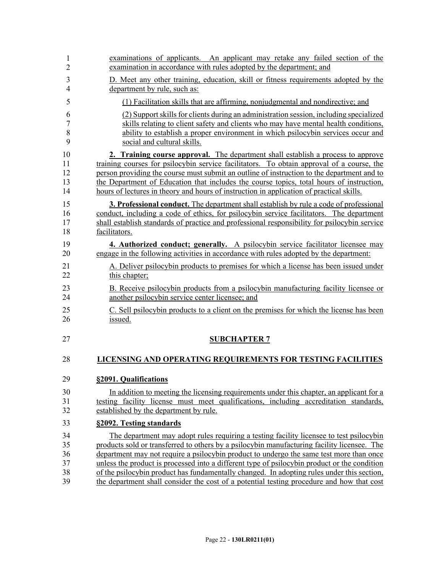| 1              | examinations of applicants. An applicant may retake any failed section of the                 |
|----------------|-----------------------------------------------------------------------------------------------|
| $\overline{c}$ | examination in accordance with rules adopted by the department; and                           |
| 3              | D. Meet any other training, education, skill or fitness requirements adopted by the           |
| 4              | department by rule, such as:                                                                  |
| 5              | (1) Facilitation skills that are affirming, nonjudgmental and nondirective; and               |
| 6              | (2) Support skills for clients during an administration session, including specialized        |
| $\overline{7}$ | skills relating to client safety and clients who may have mental health conditions,           |
| 8              | ability to establish a proper environment in which psilocybin services occur and              |
| 9              | social and cultural skills.                                                                   |
| 10             | 2. Training course approval. The department shall establish a process to approve              |
| 11             | training courses for psilocybin service facilitators. To obtain approval of a course, the     |
| 12             | person providing the course must submit an outline of instruction to the department and to    |
| 13             | the Department of Education that includes the course topics, total hours of instruction,      |
| 14             | hours of lectures in theory and hours of instruction in application of practical skills.      |
| 15             | <b>3. Professional conduct.</b> The department shall establish by rule a code of professional |
| 16             | conduct, including a code of ethics, for psilocybin service facilitators. The department      |
| 17             | shall establish standards of practice and professional responsibility for psilocybin service  |
| 18             | facilitators.                                                                                 |
| 19             | 4. Authorized conduct; generally. A psilocybin service facilitator licensee may               |
| 20             | engage in the following activities in accordance with rules adopted by the department:        |
| 21             | A. Deliver psilocybin products to premises for which a license has been issued under          |
| 22             | this chapter;                                                                                 |
| 23             | B. Receive psilocybin products from a psilocybin manufacturing facility licensee or           |
| 24             | another psilocybin service center licensee; and                                               |
| 25             | C. Sell psilocybin products to a client on the premises for which the license has been        |
| 26             | issued.                                                                                       |
| 27             | <b>SUBCHAPTER 7</b>                                                                           |
| 28             | <b>LICENSING AND OPERATING REQUIREMENTS FOR TESTING FACILITIES</b>                            |
| 29             | §2091. Qualifications                                                                         |
| 30             | In addition to meeting the licensing requirements under this chapter, an applicant for a      |
| 31             | testing facility license must meet qualifications, including accreditation standards,         |
| 32             | established by the department by rule.                                                        |
| 33             | §2092. Testing standards                                                                      |
| 34             | The department may adopt rules requiring a testing facility licensee to test psilocybin       |
| 35             | products sold or transferred to others by a psilocybin manufacturing facility licensee. The   |
| 36             | department may not require a psilocybin product to undergo the same test more than once       |
| 37             | unless the product is processed into a different type of psilocybin product or the condition  |
| 38             | of the psilocybin product has fundamentally changed. In adopting rules under this section,    |
| 39             | the department shall consider the cost of a potential testing procedure and how that cost     |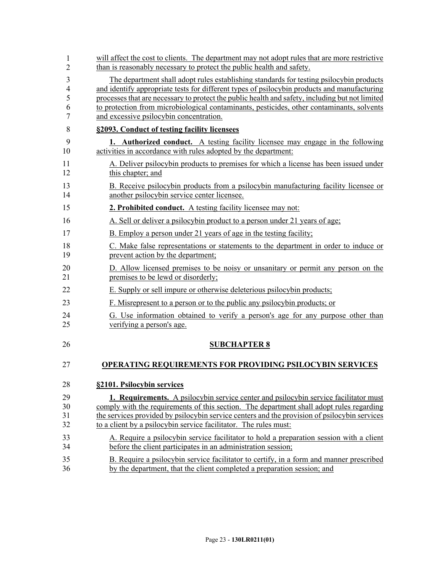| 1              | will affect the cost to clients. The department may not adopt rules that are more restrictive   |
|----------------|-------------------------------------------------------------------------------------------------|
| 2              | than is reasonably necessary to protect the public health and safety.                           |
| 3              | The department shall adopt rules establishing standards for testing psilocybin products         |
| $\overline{4}$ | and identify appropriate tests for different types of psilocybin products and manufacturing     |
| 5              | processes that are necessary to protect the public health and safety, including but not limited |
| 6              | to protection from microbiological contaminants, pesticides, other contaminants, solvents       |
| 7              | and excessive psilocybin concentration.                                                         |
| 8              | §2093. Conduct of testing facility licensees                                                    |
| 9              | <b>1.</b> Authorized conduct. A testing facility licensee may engage in the following           |
| 10             | activities in accordance with rules adopted by the department:                                  |
| 11             | A. Deliver psilocybin products to premises for which a license has been issued under            |
| 12             | this chapter; and                                                                               |
| 13             | B. Receive psilocybin products from a psilocybin manufacturing facility licensee or             |
| 14             | another psilocybin service center licensee.                                                     |
| 15             | 2. Prohibited conduct. A testing facility licensee may not:                                     |
| 16             | A. Sell or deliver a psilocybin product to a person under 21 years of age;                      |
| 17             | B. Employ a person under 21 years of age in the testing facility;                               |
| 18             | C. Make false representations or statements to the department in order to induce or             |
| 19             | prevent action by the department;                                                               |
| 20             | D. Allow licensed premises to be noisy or unsanitary or permit any person on the                |
| 21             | premises to be lewd or disorderly;                                                              |
| 22             | E. Supply or sell impure or otherwise deleterious psilocybin products;                          |
| 23             | F. Misrepresent to a person or to the public any psilocybin products; or                        |
| 24             | G. Use information obtained to verify a person's age for any purpose other than                 |
| 25             | verifying a person's age.                                                                       |
| 26             | <b>SUBCHAPTER 8</b>                                                                             |
| 27             | <b>OPERATING REQUIREMENTS FOR PROVIDING PSILOCYBIN SERVICES</b>                                 |
| 28             | §2101. Psilocybin services                                                                      |
| 29             | <b>1. Requirements.</b> A psilocybin service center and psilocybin service facilitator must     |
| 30             | comply with the requirements of this section. The department shall adopt rules regarding        |
| 31             | the services provided by psilocybin service centers and the provision of psilocybin services    |
| 32             | to a client by a psilocybin service facilitator. The rules must:                                |
| 33             | A. Require a psilocybin service facilitator to hold a preparation session with a client         |
| 34             | before the client participates in an administration session;                                    |
| 35             | B. Require a psilocybin service facilitator to certify, in a form and manner prescribed         |
| 36             | by the department, that the client completed a preparation session; and                         |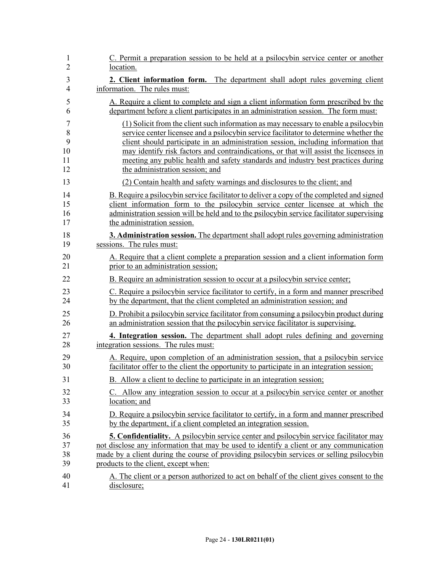| 1              | C. Permit a preparation session to be held at a psilocybin service center or another          |
|----------------|-----------------------------------------------------------------------------------------------|
| $\overline{2}$ | location.                                                                                     |
| 3              | 2. Client information form. The department shall adopt rules governing client                 |
| $\overline{4}$ | information. The rules must:                                                                  |
| 5              | A. Require a client to complete and sign a client information form prescribed by the          |
| 6              | department before a client participates in an administration session. The form must:          |
| $\overline{7}$ | (1) Solicit from the client such information as may necessary to enable a psilocybin          |
| 8              | service center licensee and a psilocybin service facilitator to determine whether the         |
| 9              | client should participate in an administration session, including information that            |
| 10             | may identify risk factors and contraindications, or that will assist the licensees in         |
| 11             | meeting any public health and safety standards and industry best practices during             |
| 12             | the administration session; and                                                               |
| 13             | (2) Contain health and safety warnings and disclosures to the client; and                     |
| 14             | B. Require a psilocybin service facilitator to deliver a copy of the completed and signed     |
| 15             | client information form to the psilocybin service center licensee at which the                |
| 16             | administration session will be held and to the psilocybin service facilitator supervising     |
| 17             | the administration session.                                                                   |
| 18             | 3. Administration session. The department shall adopt rules governing administration          |
| 19             | sessions. The rules must:                                                                     |
| 20             | A. Require that a client complete a preparation session and a client information form         |
| 21             | prior to an administration session;                                                           |
| 22             | B. Require an administration session to occur at a psilocybin service center;                 |
| 23             | C. Require a psilocybin service facilitator to certify, in a form and manner prescribed       |
| 24             | by the department, that the client completed an administration session; and                   |
| 25             | D. Prohibit a psilocybin service facilitator from consuming a psilocybin product during       |
| 26             | an administration session that the psilocybin service facilitator is supervising.             |
| 27             | 4. Integration session. The department shall adopt rules defining and governing               |
| 28             | integration sessions. The rules must:                                                         |
| 29             | A. Require, upon completion of an administration session, that a psilocybin service           |
| 30             | facilitator offer to the client the opportunity to participate in an integration session;     |
| 31             | B. Allow a client to decline to participate in an integration session;                        |
| 32             | C. Allow any integration session to occur at a psilocybin service center or another           |
| 33             | location; and                                                                                 |
| 34             | D. Require a psilocybin service facilitator to certify, in a form and manner prescribed       |
| 35             | by the department, if a client completed an integration session.                              |
| 36             | <b>5. Confidentiality.</b> A psilocybin service center and psilocybin service facilitator may |
| 37             | not disclose any information that may be used to identify a client or any communication       |
| 38             | made by a client during the course of providing psilocybin services or selling psilocybin     |
| 39             | products to the client, except when:                                                          |
| 40             | A. The client or a person authorized to act on behalf of the client gives consent to the      |
| 41             | disclosure;                                                                                   |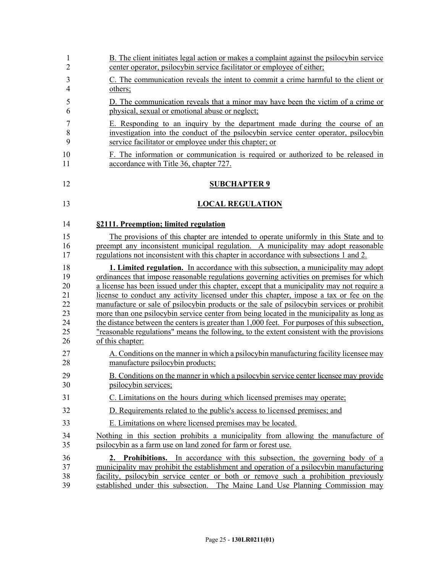| 1              | B. The client initiates legal action or makes a complaint against the psilocybin service      |
|----------------|-----------------------------------------------------------------------------------------------|
| 2              | center operator, psilocybin service facilitator or employee of either;                        |
| 3              | C. The communication reveals the intent to commit a crime harmful to the client or            |
| $\overline{4}$ | others;                                                                                       |
| 5              | D. The communication reveals that a minor may have been the victim of a crime or              |
| 6              | physical, sexual or emotional abuse or neglect;                                               |
| 7              | E. Responding to an inquiry by the department made during the course of an                    |
| 8              | investigation into the conduct of the psilocybin service center operator, psilocybin          |
| 9              | service facilitator or employee under this chapter; or                                        |
| 10             | F. The information or communication is required or authorized to be released in               |
| 11             | accordance with Title 36, chapter 727.                                                        |
| 12             | <b>SUBCHAPTER 9</b>                                                                           |
| 13             | <b>LOCAL REGULATION</b>                                                                       |
| 14             | §2111. Preemption; limited regulation                                                         |
| 15             | The provisions of this chapter are intended to operate uniformly in this State and to         |
| 16             | preempt any inconsistent municipal regulation. A municipality may adopt reasonable            |
| 17             | regulations not inconsistent with this chapter in accordance with subsections 1 and 2.        |
| 18             | <b>1. Limited regulation.</b> In accordance with this subsection, a municipality may adopt    |
| 19             | ordinances that impose reasonable regulations governing activities on premises for which      |
| 20             | a license has been issued under this chapter, except that a municipality may not require a    |
| 21             | license to conduct any activity licensed under this chapter, impose a tax or fee on the       |
| 22             | manufacture or sale of psilocybin products or the sale of psilocybin services or prohibit     |
| 23             | more than one psilocybin service center from being located in the municipality as long as     |
| 24             | the distance between the centers is greater than 1,000 feet. For purposes of this subsection, |
| 25             | "reasonable regulations" means the following, to the extent consistent with the provisions    |
| 26             | of this chapter:                                                                              |
| 27             | A. Conditions on the manner in which a psilocybin manufacturing facility licensee may         |
| 28             | manufacture psilocybin products;                                                              |
| 29             | B. Conditions on the manner in which a psilocybin service center licensee may provide         |
| 30             | psilocybin services;                                                                          |
| 31             | C. Limitations on the hours during which licensed premises may operate;                       |
| 32             | D. Requirements related to the public's access to licensed premises; and                      |
| 33             | E. Limitations on where licensed premises may be located.                                     |
| 34             | Nothing in this section prohibits a municipality from allowing the manufacture of             |
| 35             | psilocybin as a farm use on land zoned for farm or forest use.                                |
| 36             | 2. Prohibitions. In accordance with this subsection, the governing body of a                  |
| 37             | municipality may prohibit the establishment and operation of a psilocybin manufacturing       |
| 38             | facility, psilocybin service center or both or remove such a prohibition previously           |
| 39             | established under this subsection. The Maine Land Use Planning Commission may                 |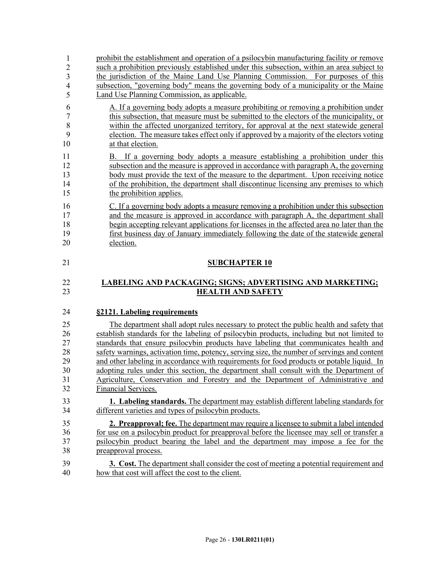| $\mathbf{1}$                              | prohibit the establishment and operation of a psilocybin manufacturing facility or remove                                                                                         |
|-------------------------------------------|-----------------------------------------------------------------------------------------------------------------------------------------------------------------------------------|
| $\overline{2}$<br>$\overline{\mathbf{3}}$ | such a prohibition previously established under this subsection, within an area subject to<br>the jurisdiction of the Maine Land Use Planning Commission. For purposes of this    |
| $\overline{4}$                            | subsection, "governing body" means the governing body of a municipality or the Maine                                                                                              |
| 5                                         | Land Use Planning Commission, as applicable.                                                                                                                                      |
| 6                                         | A. If a governing body adopts a measure prohibiting or removing a prohibition under                                                                                               |
| $\overline{7}$                            | this subsection, that measure must be submitted to the electors of the municipality, or                                                                                           |
| 8                                         | within the affected unorganized territory, for approval at the next statewide general                                                                                             |
| 9                                         | election. The measure takes effect only if approved by a majority of the electors voting                                                                                          |
| 10                                        | at that election.                                                                                                                                                                 |
| 11                                        | B. If a governing body adopts a measure establishing a prohibition under this                                                                                                     |
| 12                                        | subsection and the measure is approved in accordance with paragraph A, the governing                                                                                              |
| 13                                        | body must provide the text of the measure to the department. Upon receiving notice                                                                                                |
| 14<br>15                                  | of the prohibition, the department shall discontinue licensing any premises to which<br>the prohibition applies.                                                                  |
| 16                                        | C. If a governing body adopts a measure removing a prohibition under this subsection                                                                                              |
| 17                                        | and the measure is approved in accordance with paragraph A, the department shall                                                                                                  |
| 18                                        | begin accepting relevant applications for licenses in the affected area no later than the                                                                                         |
| 19                                        | first business day of January immediately following the date of the statewide general                                                                                             |
| 20                                        | election.                                                                                                                                                                         |
| 21                                        | <b>SUBCHAPTER 10</b>                                                                                                                                                              |
| 22                                        | <b>LABELING AND PACKAGING; SIGNS; ADVERTISING AND MARKETING;</b>                                                                                                                  |
| 23                                        | <b>HEALTH AND SAFETY</b>                                                                                                                                                          |
| 24                                        | §2121. Labeling requirements                                                                                                                                                      |
|                                           |                                                                                                                                                                                   |
| 25                                        | The department shall adopt rules necessary to protect the public health and safety that                                                                                           |
| 26<br>27                                  | establish standards for the labeling of psilocybin products, including but not limited to<br>standards that ensure psilocybin products have labeling that communicates health and |
| 28                                        | safety warnings, activation time, potency, serving size, the number of servings and content                                                                                       |
| 29                                        | and other labeling in accordance with requirements for food products or potable liquid. In                                                                                        |
| 30                                        | adopting rules under this section, the department shall consult with the Department of                                                                                            |
| 31                                        |                                                                                                                                                                                   |
|                                           |                                                                                                                                                                                   |
| 32                                        | Agriculture, Conservation and Forestry and the Department of Administrative and<br>Financial Services.                                                                            |
| 33                                        | <b>1. Labeling standards.</b> The department may establish different labeling standards for                                                                                       |
| 34                                        | different varieties and types of psilocybin products.                                                                                                                             |
| 35                                        | <b>2. Preapproval; fee.</b> The department may require a licensee to submit a label intended                                                                                      |
| 36                                        | for use on a psilocybin product for preapproval before the licensee may sell or transfer a                                                                                        |
| 37<br>38                                  | psilocybin product bearing the label and the department may impose a fee for the<br>preapproval process.                                                                          |

39 **3. Cost.** The department shall consider the cost of meeting a potential requirement and 40 how that cost will affect the cost to the client.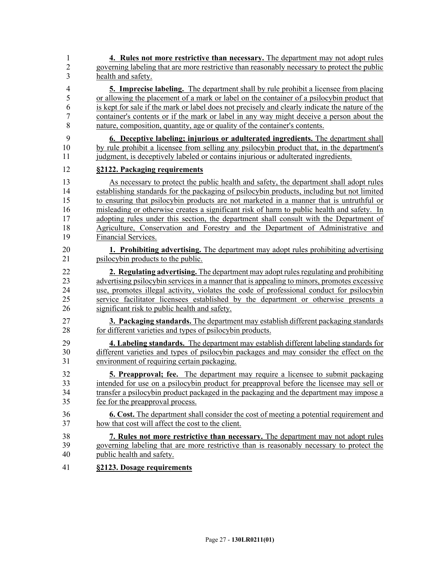1 **4. Rules not more restrictive than necessary.** The department may not adopt rules 2 governing labeling that are more restrictive than reasonably necessary to protect the public 3 health and safety. 4 **5. Imprecise labeling.** The department shall by rule prohibit a licensee from placing 5 or allowing the placement of a mark or label on the container of a psilocybin product that 6 is kept for sale if the mark or label does not precisely and clearly indicate the nature of the 7 container's contents or if the mark or label in any way might deceive a person about the 8 nature, composition, quantity, age or quality of the container's contents. 9 **6. Deceptive labeling; injurious or adulterated ingredients.** The department shall 10 by rule prohibit a licensee from selling any psilocybin product that, in the department's 11 judgment, is deceptively labeled or contains injurious or adulterated ingredients. 12 **§2122. Packaging requirements** 13 As necessary to protect the public health and safety, the department shall adopt rules 14 establishing standards for the packaging of psilocybin products, including but not limited 15 to ensuring that psilocybin products are not marketed in a manner that is untruthful or 16 misleading or otherwise creates a significant risk of harm to public health and safety. In 17 adopting rules under this section, the department shall consult with the Department of 18 Agriculture, Conservation and Forestry and the Department of Administrative and 19 Financial Services. 20 **1. Prohibiting advertising.** The department may adopt rules prohibiting advertising 21 psilocybin products to the public. 22 **2. Regulating advertising.** The department may adopt rules regulating and prohibiting 23 advertising psilocybin services in a manner that is appealing to minors, promotes excessive 24 use, promotes illegal activity, violates the code of professional conduct for psilocybin 25 service facilitator licensees established by the department or otherwise presents a 26 significant risk to public health and safety. 27 **3. Packaging standards.** The department may establish different packaging standards 28 for different varieties and types of psilocybin products. 29 **4. Labeling standards.** The department may establish different labeling standards for 30 different varieties and types of psilocybin packages and may consider the effect on the 31 environment of requiring certain packaging. 32 **5. Preapproval; fee.** The department may require a licensee to submit packaging 33 intended for use on a psilocybin product for preapproval before the licensee may sell or 34 transfer a psilocybin product packaged in the packaging and the department may impose a 35 fee for the preapproval process. 36 **6. Cost.** The department shall consider the cost of meeting a potential requirement and 37 how that cost will affect the cost to the client. 38 **7. Rules not more restrictive than necessary.** The department may not adopt rules 39 governing labeling that are more restrictive than is reasonably necessary to protect the 40 public health and safety. 41 **§2123. Dosage requirements**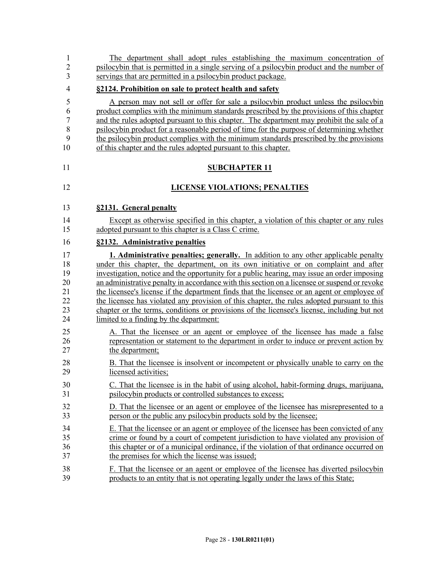| $\overline{c}$ | psilocybin that is permitted in a single serving of a psilocybin product and the number of   |
|----------------|----------------------------------------------------------------------------------------------|
| 3              | servings that are permitted in a psilocybin product package.                                 |
| 4              | §2124. Prohibition on sale to protect health and safety                                      |
| 5              | A person may not sell or offer for sale a psilocybin product unless the psilocybin           |
| 6              | product complies with the minimum standards prescribed by the provisions of this chapter     |
| $\sqrt{ }$     | and the rules adopted pursuant to this chapter. The department may prohibit the sale of a    |
| 8              | psilocybin product for a reasonable period of time for the purpose of determining whether    |
| 9              | the psilocybin product complies with the minimum standards prescribed by the provisions      |
| 10             | of this chapter and the rules adopted pursuant to this chapter.                              |
| 11             | <b>SUBCHAPTER 11</b>                                                                         |
| 12             | <b>LICENSE VIOLATIONS; PENALTIES</b>                                                         |
| 13             | §2131. General penalty                                                                       |
| 14             | Except as otherwise specified in this chapter, a violation of this chapter or any rules      |
| 15             | adopted pursuant to this chapter is a Class C crime.                                         |
| 16             | §2132. Administrative penalties                                                              |
| 17             | <b>1. Administrative penalties; generally.</b> In addition to any other applicable penalty   |
| 18             | under this chapter, the department, on its own initiative or on complaint and after          |
| 19             | investigation, notice and the opportunity for a public hearing, may issue an order imposing  |
| 20             | an administrative penalty in accordance with this section on a licensee or suspend or revoke |
| 21             | the licensee's license if the department finds that the licensee or an agent or employee of  |
| 22             | the licensee has violated any provision of this chapter, the rules adopted pursuant to this  |
| 23             | chapter or the terms, conditions or provisions of the licensee's license, including but not  |
| 24             | limited to a finding by the department:                                                      |
| 25             | A. That the licensee or an agent or employee of the licensee has made a false                |
| 26             | representation or statement to the department in order to induce or prevent action by        |
| 27             | the department;                                                                              |
| 28             | B. That the licensee is insolvent or incompetent or physically unable to carry on the        |
| 29             | licensed activities:                                                                         |
| 30             | C. That the licensee is in the habit of using alcohol, habit-forming drugs, marijuana,       |
| 31             | psilocybin products or controlled substances to excess;                                      |
| 32             | D. That the licensee or an agent or employee of the licensee has misrepresented to a         |
| 33             | person or the public any psilocybin products sold by the licensee;                           |
| 34             | E. That the licensee or an agent or employee of the licensee has been convicted of any       |
| 35             | crime or found by a court of competent jurisdiction to have violated any provision of        |
| 36             | this chapter or of a municipal ordinance, if the violation of that ordinance occurred on     |
| 37             | the premises for which the license was issued;                                               |
| 38             | F. That the licensee or an agent or employee of the licensee has diverted psilocybin         |
| 39             | products to an entity that is not operating legally under the laws of this State;            |

1 The department shall adopt rules establishing the maximum concentration of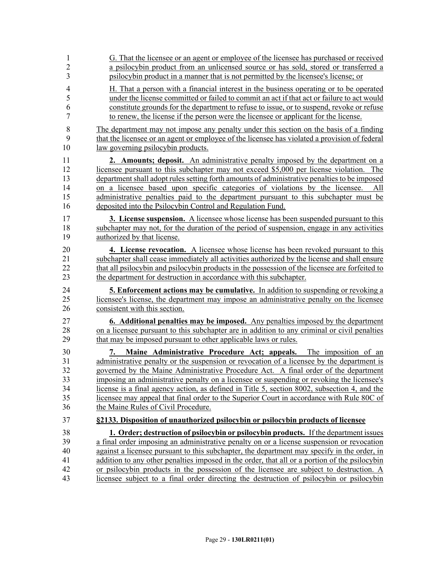| 1                                            | G. That the licensee or an agent or employee of the licensee has purchased or received                                                                                                                                                                                                                                                                                                                                                                                                                                                                                                                                                                                                                         |
|----------------------------------------------|----------------------------------------------------------------------------------------------------------------------------------------------------------------------------------------------------------------------------------------------------------------------------------------------------------------------------------------------------------------------------------------------------------------------------------------------------------------------------------------------------------------------------------------------------------------------------------------------------------------------------------------------------------------------------------------------------------------|
| $\overline{2}$                               | a psilocybin product from an unlicensed source or has sold, stored or transferred a                                                                                                                                                                                                                                                                                                                                                                                                                                                                                                                                                                                                                            |
| 3                                            | psilocybin product in a manner that is not permitted by the licensee's license; or                                                                                                                                                                                                                                                                                                                                                                                                                                                                                                                                                                                                                             |
| $\overline{4}$                               | H. That a person with a financial interest in the business operating or to be operated                                                                                                                                                                                                                                                                                                                                                                                                                                                                                                                                                                                                                         |
| 5                                            | under the license committed or failed to commit an act if that act or failure to act would                                                                                                                                                                                                                                                                                                                                                                                                                                                                                                                                                                                                                     |
| 6                                            | constitute grounds for the department to refuse to issue, or to suspend, revoke or refuse                                                                                                                                                                                                                                                                                                                                                                                                                                                                                                                                                                                                                      |
| 7                                            | to renew, the license if the person were the licensee or applicant for the license.                                                                                                                                                                                                                                                                                                                                                                                                                                                                                                                                                                                                                            |
| 8                                            | The department may not impose any penalty under this section on the basis of a finding                                                                                                                                                                                                                                                                                                                                                                                                                                                                                                                                                                                                                         |
| 9                                            | that the licensee or an agent or employee of the licensee has violated a provision of federal                                                                                                                                                                                                                                                                                                                                                                                                                                                                                                                                                                                                                  |
| 10                                           | law governing psilocybin products.                                                                                                                                                                                                                                                                                                                                                                                                                                                                                                                                                                                                                                                                             |
| 11<br>12<br>13<br>14<br>15<br>16<br>17<br>18 | 2. Amounts; deposit. An administrative penalty imposed by the department on a<br>licensee pursuant to this subchapter may not exceed \$5,000 per license violation. The<br>department shall adopt rules setting forth amounts of administrative penalties to be imposed<br>on a licensee based upon specific categories of violations by the licensee.<br>All<br>administrative penalties paid to the department pursuant to this subchapter must be<br>deposited into the Psilocybin Control and Regulation Fund.<br><b>3. License suspension.</b> A licensee whose license has been suspended pursuant to this<br>subchapter may not, for the duration of the period of suspension, engage in any activities |
| 19                                           | authorized by that license.                                                                                                                                                                                                                                                                                                                                                                                                                                                                                                                                                                                                                                                                                    |
| 20                                           | 4. License revocation. A licensee whose license has been revoked pursuant to this                                                                                                                                                                                                                                                                                                                                                                                                                                                                                                                                                                                                                              |
| 21                                           | subchapter shall cease immediately all activities authorized by the license and shall ensure                                                                                                                                                                                                                                                                                                                                                                                                                                                                                                                                                                                                                   |
| 22                                           | that all psilocybin and psilocybin products in the possession of the licensee are forfeited to                                                                                                                                                                                                                                                                                                                                                                                                                                                                                                                                                                                                                 |
| 23                                           | the department for destruction in accordance with this subchapter.                                                                                                                                                                                                                                                                                                                                                                                                                                                                                                                                                                                                                                             |
| 24                                           | <b>5. Enforcement actions may be cumulative.</b> In addition to suspending or revoking a                                                                                                                                                                                                                                                                                                                                                                                                                                                                                                                                                                                                                       |
| 25                                           | licensee's license, the department may impose an administrative penalty on the licensee                                                                                                                                                                                                                                                                                                                                                                                                                                                                                                                                                                                                                        |
| 26                                           | consistent with this section.                                                                                                                                                                                                                                                                                                                                                                                                                                                                                                                                                                                                                                                                                  |
| 27                                           | <b>6. Additional penalties may be imposed.</b> Any penalties imposed by the department                                                                                                                                                                                                                                                                                                                                                                                                                                                                                                                                                                                                                         |
| 28                                           | on a licensee pursuant to this subchapter are in addition to any criminal or civil penalties                                                                                                                                                                                                                                                                                                                                                                                                                                                                                                                                                                                                                   |
| 29                                           | that may be imposed pursuant to other applicable laws or rules.                                                                                                                                                                                                                                                                                                                                                                                                                                                                                                                                                                                                                                                |
| 30<br>31<br>32<br>33<br>34<br>35<br>36       | Maine Administrative Procedure Act; appeals. The imposition of an<br>7.<br>administrative penalty or the suspension or revocation of a licensee by the department is<br>governed by the Maine Administrative Procedure Act. A final order of the department<br>imposing an administrative penalty on a licensee or suspending or revoking the licensee's<br>license is a final agency action, as defined in Title 5, section 8002, subsection 4, and the<br>licensee may appeal that final order to the Superior Court in accordance with Rule 80C of<br>the Maine Rules of Civil Procedure.                                                                                                                   |
| 37                                           | §2133. Disposition of unauthorized psilocybin or psilocybin products of licensee                                                                                                                                                                                                                                                                                                                                                                                                                                                                                                                                                                                                                               |
| 38                                           | 1. Order; destruction of psilocybin or psilocybin products. If the department issues                                                                                                                                                                                                                                                                                                                                                                                                                                                                                                                                                                                                                           |
| 39                                           | a final order imposing an administrative penalty on or a license suspension or revocation                                                                                                                                                                                                                                                                                                                                                                                                                                                                                                                                                                                                                      |
| 40                                           | against a licensee pursuant to this subchapter, the department may specify in the order, in                                                                                                                                                                                                                                                                                                                                                                                                                                                                                                                                                                                                                    |
| 41                                           | addition to any other penalties imposed in the order, that all or a portion of the psilocybin                                                                                                                                                                                                                                                                                                                                                                                                                                                                                                                                                                                                                  |
| 42                                           | or psilocybin products in the possession of the licensee are subject to destruction. A                                                                                                                                                                                                                                                                                                                                                                                                                                                                                                                                                                                                                         |
| 43                                           | licensee subject to a final order directing the destruction of psilocybin or psilocybin                                                                                                                                                                                                                                                                                                                                                                                                                                                                                                                                                                                                                        |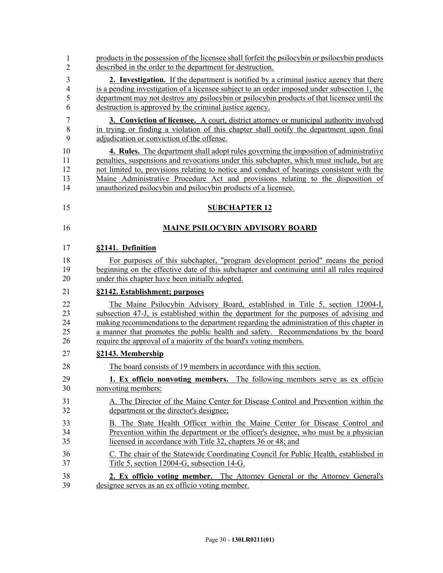| 1  | products in the possession of the licensee shall forfeit the psilocybin or psilocybin products |
|----|------------------------------------------------------------------------------------------------|
| 2  | described in the order to the department for destruction.                                      |
| 3  | <b>2. Investigation.</b> If the department is notified by a criminal justice agency that there |
| 4  | is a pending investigation of a licensee subject to an order imposed under subsection 1, the   |
| 5  | department may not destroy any psilocybin or psilocybin products of that licensee until the    |
| 6  | destruction is approved by the criminal justice agency.                                        |
| 7  | <b>3. Conviction of licensee.</b> A court, district attorney or municipal authority involved   |
| 8  | in trying or finding a violation of this chapter shall notify the department upon final        |
| 9  | adjudication or conviction of the offense.                                                     |
| 10 | 4. Rules. The department shall adopt rules governing the imposition of administrative          |
| 11 | penalties, suspensions and revocations under this subchapter, which must include, but are      |
| 12 | not limited to, provisions relating to notice and conduct of hearings consistent with the      |
| 13 | Maine Administrative Procedure Act and provisions relating to the disposition of               |
| 14 | unauthorized psilocybin and psilocybin products of a licensee.                                 |
| 15 | <b>SUBCHAPTER 12</b>                                                                           |
| 16 | <b>MAINE PSILOCYBIN ADVISORY BOARD</b>                                                         |
| 17 | §2141. Definition                                                                              |
| 18 | For purposes of this subchapter, "program development period" means the period                 |
| 19 | beginning on the effective date of this subchapter and continuing until all rules required     |
| 20 | under this chapter have been initially adopted.                                                |
| 21 | §2142. Establishment; purposes                                                                 |
| 22 | The Maine Psilocybin Advisory Board, established in Title 5, section 12004-I,                  |
| 23 | subsection 47-J, is established within the department for the purposes of advising and         |
| 24 | making recommendations to the department regarding the administration of this chapter in       |
| 25 | a manner that promotes the public health and safety. Recommendations by the board              |
| 26 | require the approval of a majority of the board's voting members.                              |
| 27 | §2143. Membership                                                                              |
| 28 | The board consists of 19 members in accordance with this section.                              |
| 29 | 1. Ex officio nonvoting members. The following members serve as ex officio                     |
| 30 | nonvoting members:                                                                             |
| 31 | A. The Director of the Maine Center for Disease Control and Prevention within the              |
| 32 | department or the director's designee;                                                         |
| 33 | B. The State Health Officer within the Maine Center for Disease Control and                    |
| 34 | Prevention within the department or the officer's designee, who must be a physician            |
| 35 | licensed in accordance with Title 32, chapters 36 or 48; and                                   |
| 36 | C. The chair of the Statewide Coordinating Council for Public Health, established in           |
| 37 | Title 5, section 12004-G, subsection 14-G.                                                     |
| 38 | 2. Ex officio voting member. The Attorney General or the Attorney General's                    |
| 39 | designee serves as an ex officio voting member.                                                |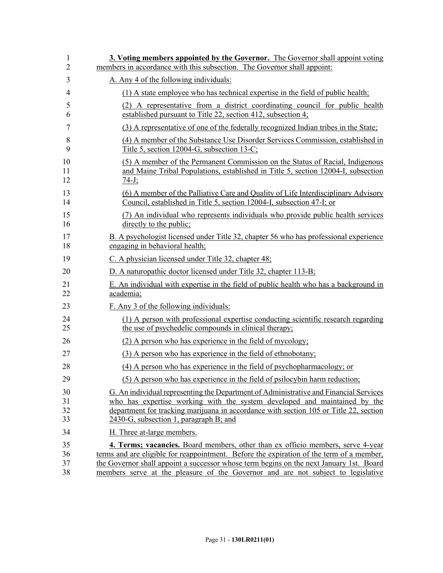| 1  | 3. Voting members appointed by the Governor. The Governor shall appoint voting           |
|----|------------------------------------------------------------------------------------------|
| 2  | members in accordance with this subsection. The Governor shall appoint:                  |
| 3  | A. Any 4 of the following individuals:                                                   |
| 4  | (1) A state employee who has technical expertise in the field of public health;          |
| 5  | (2) A representative from a district coordinating council for public health              |
| 6  | established pursuant to Title 22, section 412, subsection 4;                             |
| 7  | (3) A representative of one of the federally recognized Indian tribes in the State;      |
| 8  | (4) A member of the Substance Use Disorder Services Commission, established in           |
| 9  | Title 5, section 12004-G, subsection 13-C;                                               |
| 10 | (5) A member of the Permanent Commission on the Status of Racial, Indigenous             |
| 11 | and Maine Tribal Populations, established in Title 5, section 12004-I, subsection        |
| 12 | $74 - J$ ;                                                                               |
| 13 | (6) A member of the Palliative Care and Quality of Life Interdisciplinary Advisory       |
| 14 | Council, established in Title 5, section 12004-I, subsection 47-I; or                    |
| 15 | (7) An individual who represents individuals who provide public health services          |
| 16 | directly to the public;                                                                  |
| 17 | B. A psychologist licensed under Title 32, chapter 56 who has professional experience    |
| 18 | engaging in behavioral health;                                                           |
| 19 | C. A physician licensed under Title 32, chapter 48;                                      |
| 20 | D. A naturopathic doctor licensed under Title 32, chapter 113-B;                         |
| 21 | E. An individual with expertise in the field of public health who has a background in    |
| 22 | academia;                                                                                |
| 23 | F. Any 3 of the following individuals:                                                   |
| 24 | (1) A person with professional expertise conducting scientific research regarding        |
| 25 | the use of psychodelic compounds in clinical therapy;                                    |
| 26 | (2) A person who has experience in the field of mycology;                                |
| 27 | (3) A person who has experience in the field of ethnobotany;                             |
| 28 | (4) A person who has experience in the field of psychopharmacology; or                   |
| 29 | (5) A person who has experience in the field of psilocybin harm reduction;               |
| 30 | G. An individual representing the Department of Administrative and Financial Services    |
| 31 | who has expertise working with the system developed and maintained by the                |
| 32 | department for tracking marijuana in accordance with section 105 or Title 22, section    |
| 33 | 2430-G, subsection 1, paragraph B; and                                                   |
| 34 | H. Three at-large members.                                                               |
| 35 | <b>4. Terms; vacancies.</b> Board members, other than ex officio members, serve 4-year   |
| 36 | terms and are eligible for reappointment. Before the expiration of the term of a member, |
| 37 | the Governor shall appoint a successor whose term begins on the next January 1st. Board  |
| 38 | members serve at the pleasure of the Governor and are not subject to legislative         |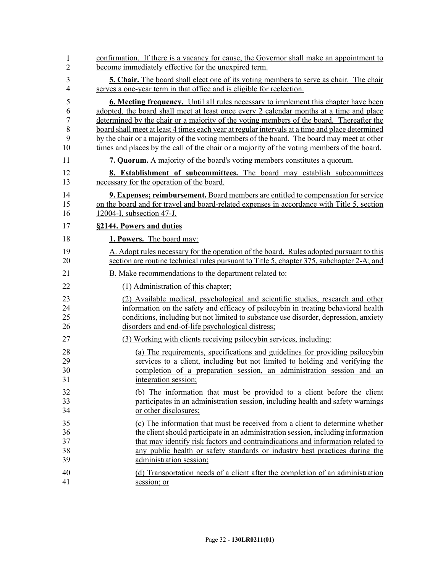| 1              | confirmation. If there is a vacancy for cause, the Governor shall make an appointment to        |
|----------------|-------------------------------------------------------------------------------------------------|
| $\overline{2}$ | become immediately effective for the unexpired term.                                            |
| 3              | <b>5. Chair.</b> The board shall elect one of its voting members to serve as chair. The chair   |
| $\overline{4}$ | serves a one-year term in that office and is eligible for reelection.                           |
| 5              | <b>6. Meeting frequency.</b> Until all rules necessary to implement this chapter have been      |
| 6              | adopted, the board shall meet at least once every 2 calendar months at a time and place         |
| $\overline{7}$ | determined by the chair or a majority of the voting members of the board. Thereafter the        |
| 8              | board shall meet at least 4 times each year at regular intervals at a time and place determined |
| 9              | by the chair or a majority of the voting members of the board. The board may meet at other      |
| 10             | times and places by the call of the chair or a majority of the voting members of the board.     |
| 11             | <b>7. Quorum.</b> A majority of the board's voting members constitutes a quorum.                |
| 12             | 8. Establishment of subcommittees. The board may establish subcommittees                        |
| 13             | necessary for the operation of the board.                                                       |
| 14             | <b>9. Expenses; reimbursement.</b> Board members are entitled to compensation for service       |
| 15             | on the board and for travel and board-related expenses in accordance with Title 5, section      |
| 16             | 12004-I, subsection 47-J.                                                                       |
| 17             | §2144. Powers and duties                                                                        |
| 18             | 1. Powers. The board may:                                                                       |
| 19             | A. Adopt rules necessary for the operation of the board. Rules adopted pursuant to this         |
| 20             | section are routine technical rules pursuant to Title 5, chapter 375, subchapter 2-A; and       |
| 21             | B. Make recommendations to the department related to:                                           |
| 22             | (1) Administration of this chapter;                                                             |
| 23             | (2) Available medical, psychological and scientific studies, research and other                 |
| 24             | information on the safety and efficacy of psilocybin in treating behavioral health              |
| 25             | conditions, including but not limited to substance use disorder, depression, anxiety            |
| 26             | disorders and end-of-life psychological distress;                                               |
| 27             | (3) Working with clients receiving psilocybin services, including:                              |
| 28             | (a) The requirements, specifications and guidelines for providing psilocybin                    |
| 29             | services to a client, including but not limited to holding and verifying the                    |
| 30             | completion of a preparation session, an administration session and an                           |
| 31             | integration session;                                                                            |
| 32             | (b) The information that must be provided to a client before the client                         |
| 33             | participates in an administration session, including health and safety warnings                 |
| 34             | or other disclosures;                                                                           |
| 35             | (c) The information that must be received from a client to determine whether                    |
| 36             | the client should participate in an administration session, including information               |
| 37             | that may identify risk factors and contraindications and information related to                 |
| 38             | any public health or safety standards or industry best practices during the                     |
| 39             | administration session;                                                                         |
| 40             | (d) Transportation needs of a client after the completion of an administration                  |
| 41             | session; or                                                                                     |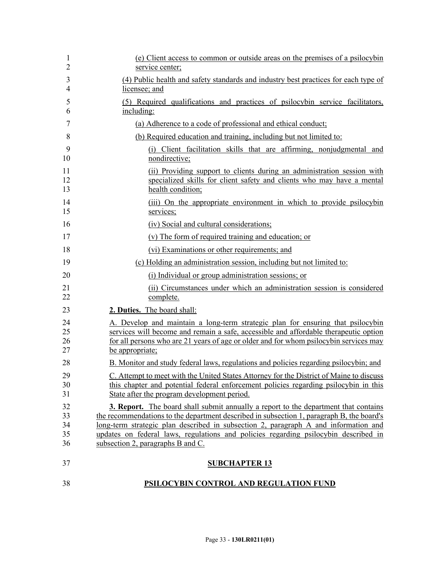| 1<br>$\overline{2}$        | (e) Client access to common or outside areas on the premises of a psilocybin<br>service center;                                                                                                                                                                                                                                                                                                            |
|----------------------------|------------------------------------------------------------------------------------------------------------------------------------------------------------------------------------------------------------------------------------------------------------------------------------------------------------------------------------------------------------------------------------------------------------|
| 3<br>$\overline{4}$        | (4) Public health and safety standards and industry best practices for each type of<br>licensee; and                                                                                                                                                                                                                                                                                                       |
| 5<br>6                     | (5) Required qualifications and practices of psilocybin service facilitators,<br>including:                                                                                                                                                                                                                                                                                                                |
| 7                          | (a) Adherence to a code of professional and ethical conduct;                                                                                                                                                                                                                                                                                                                                               |
| 8                          | (b) Required education and training, including but not limited to:                                                                                                                                                                                                                                                                                                                                         |
| 9<br>10                    | (i) Client facilitation skills that are affirming, nonjudgmental and<br>nondirective;                                                                                                                                                                                                                                                                                                                      |
| 11<br>12<br>13             | (ii) Providing support to clients during an administration session with<br>specialized skills for client safety and clients who may have a mental<br>health condition;                                                                                                                                                                                                                                     |
| 14<br>15                   | (iii) On the appropriate environment in which to provide psilocybin<br>services;                                                                                                                                                                                                                                                                                                                           |
| 16                         | (iv) Social and cultural considerations;                                                                                                                                                                                                                                                                                                                                                                   |
| 17                         | (v) The form of required training and education; or                                                                                                                                                                                                                                                                                                                                                        |
| 18                         | (vi) Examinations or other requirements; and                                                                                                                                                                                                                                                                                                                                                               |
| 19                         | (c) Holding an administration session, including but not limited to:                                                                                                                                                                                                                                                                                                                                       |
| 20                         | (i) Individual or group administration sessions; or                                                                                                                                                                                                                                                                                                                                                        |
| 21<br>22                   | (ii) Circumstances under which an administration session is considered<br>complete.                                                                                                                                                                                                                                                                                                                        |
| 23                         | 2. Duties. The board shall:                                                                                                                                                                                                                                                                                                                                                                                |
| 24<br>25<br>26<br>27       | A. Develop and maintain a long-term strategic plan for ensuring that psilocybin<br>services will become and remain a safe, accessible and affordable therapeutic option<br>for all persons who are 21 years of age or older and for whom psilocybin services may<br>be appropriate;                                                                                                                        |
| 28                         | B. Monitor and study federal laws, regulations and policies regarding psilocybin; and                                                                                                                                                                                                                                                                                                                      |
| 29<br>30<br>31             | C. Attempt to meet with the United States Attorney for the District of Maine to discuss<br>this chapter and potential federal enforcement policies regarding psilocybin in this<br>State after the program development period.                                                                                                                                                                             |
| 32<br>33<br>34<br>35<br>36 | <b>3. Report.</b> The board shall submit annually a report to the department that contains<br>the recommendations to the department described in subsection 1, paragraph B, the board's<br>long-term strategic plan described in subsection 2, paragraph A and information and<br>updates on federal laws, regulations and policies regarding psilocybin described in<br>subsection 2, paragraphs B and C. |
| 37                         | <b>SUBCHAPTER 13</b>                                                                                                                                                                                                                                                                                                                                                                                       |
| 38                         | PSILOCYBIN CONTROL AND REGULATION FUND                                                                                                                                                                                                                                                                                                                                                                     |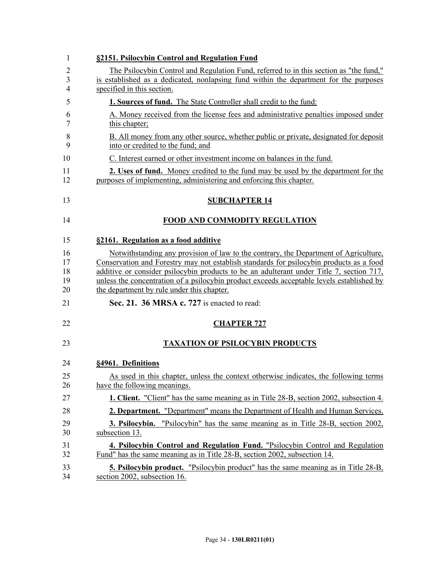| 1              | §2151. Psilocybin Control and Regulation Fund                                                                                                                                         |
|----------------|---------------------------------------------------------------------------------------------------------------------------------------------------------------------------------------|
| $\overline{2}$ | The Psilocybin Control and Regulation Fund, referred to in this section as "the fund,"                                                                                                |
| 3              | is established as a dedicated, nonlapsing fund within the department for the purposes                                                                                                 |
| 4              | specified in this section.                                                                                                                                                            |
| 5              | 1. Sources of fund. The State Controller shall credit to the fund:                                                                                                                    |
| 6<br>7         | A. Money received from the license fees and administrative penalties imposed under<br>this chapter;                                                                                   |
| 8<br>9         | B. All money from any other source, whether public or private, designated for deposit<br>into or credited to the fund: and                                                            |
| 10             | C. Interest earned or other investment income on balances in the fund.                                                                                                                |
| 11<br>12       | 2. Uses of fund. Money credited to the fund may be used by the department for the<br>purposes of implementing, administering and enforcing this chapter.                              |
| 13             | <b>SUBCHAPTER 14</b>                                                                                                                                                                  |
| 14             | <b>FOOD AND COMMODITY REGULATION</b>                                                                                                                                                  |
| 15             | §2161. Regulation as a food additive                                                                                                                                                  |
| 16             | Notwithstanding any provision of law to the contrary, the Department of Agriculture,                                                                                                  |
| 17             | Conservation and Forestry may not establish standards for psilocybin products as a food                                                                                               |
| 18<br>19       | additive or consider psilocybin products to be an adulterant under Title 7, section 717,<br>unless the concentration of a psilocybin product exceeds acceptable levels established by |
| 20             | the department by rule under this chapter.                                                                                                                                            |
| 21             | Sec. 21. 36 MRSA c. 727 is enacted to read:                                                                                                                                           |
| 22             | <b>CHAPTER 727</b>                                                                                                                                                                    |
| 23             | <b>TAXATION OF PSILOCYBIN PRODUCTS</b>                                                                                                                                                |
| 24             | §4961. Definitions                                                                                                                                                                    |
| 25<br>26       | As used in this chapter, unless the context otherwise indicates, the following terms<br>have the following meanings.                                                                  |
| 27             | <b>1. Client.</b> "Client" has the same meaning as in Title 28-B, section 2002, subsection 4.                                                                                         |
| 28             | 2. Department. "Department" means the Department of Health and Human Services.                                                                                                        |
| 29<br>30       | <b>3. Psilocybin.</b> "Psilocybin" has the same meaning as in Title 28-B, section 2002,<br>subsection 13.                                                                             |
| 31<br>32       | 4. Psilocybin Control and Regulation Fund. "Psilocybin Control and Regulation                                                                                                         |
|                | Fund" has the same meaning as in Title 28-B, section 2002, subsection 14.                                                                                                             |
| 33<br>34       | <b>5. Psilocybin product.</b> "Psilocybin product" has the same meaning as in Title 28-B,<br>section 2002, subsection 16.                                                             |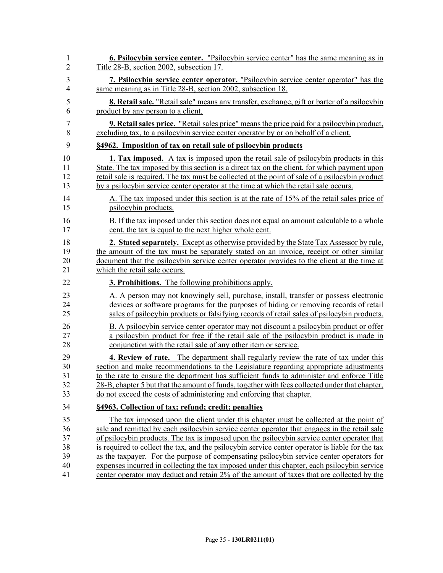| 1              | 6. Psilocybin service center. "Psilocybin service center" has the same meaning as in              |
|----------------|---------------------------------------------------------------------------------------------------|
| $\overline{2}$ | Title 28-B, section 2002, subsection 17.                                                          |
| 3              | 7. Psilocybin service center operator. "Psilocybin service center operator" has the               |
| $\overline{4}$ | same meaning as in Title 28-B, section 2002, subsection 18.                                       |
| 5              | 8. Retail sale. "Retail sale" means any transfer, exchange, gift or barter of a psilocybin        |
| 6              | product by any person to a client.                                                                |
| 7              | <b>9. Retail sales price.</b> "Retail sales price" means the price paid for a psilocybin product, |
| 8              | excluding tax, to a psilocybin service center operator by or on behalf of a client.               |
| 9              | §4962. Imposition of tax on retail sale of psilocybin products                                    |
| 10             | <b>1. Tax imposed.</b> A tax is imposed upon the retail sale of psilocybin products in this       |
| 11             | State. The tax imposed by this section is a direct tax on the client, for which payment upon      |
| 12             | retail sale is required. The tax must be collected at the point of sale of a psilocybin product   |
| 13             | by a psilocybin service center operator at the time at which the retail sale occurs.              |
| 14             | A. The tax imposed under this section is at the rate of 15% of the retail sales price of          |
| 15             | psilocybin products.                                                                              |
| 16             | B. If the tax imposed under this section does not equal an amount calculable to a whole           |
| 17             | cent, the tax is equal to the next higher whole cent.                                             |
| 18             | 2. Stated separately. Except as otherwise provided by the State Tax Assessor by rule,             |
| 19             | the amount of the tax must be separately stated on an invoice, receipt or other similar           |
| 20             | document that the psilocybin service center operator provides to the client at the time at        |
| 21             | which the retail sale occurs.                                                                     |
| 22             | <b>3. Prohibitions.</b> The following prohibitions apply.                                         |
| 23             | A. A person may not knowingly sell, purchase, install, transfer or possess electronic             |
| 24             | devices or software programs for the purposes of hiding or removing records of retail             |
| 25             | sales of psilocybin products or falsifying records of retail sales of psilocybin products.        |
| 26             | B. A psilocybin service center operator may not discount a psilocybin product or offer            |
| 27             | a psilocybin product for free if the retail sale of the psilocybin product is made in             |
| 28             | conjunction with the retail sale of any other item or service.                                    |
| 29             | <b>4. Review of rate.</b> The department shall regularly review the rate of tax under this        |
| 30             | section and make recommendations to the Legislature regarding appropriate adjustments             |
| 31             | to the rate to ensure the department has sufficient funds to administer and enforce Title         |
| 32             | 28-B, chapter 5 but that the amount of funds, together with fees collected under that chapter,    |
| 33             | do not exceed the costs of administering and enforcing that chapter.                              |
| 34             | §4963. Collection of tax; refund; credit; penalties                                               |
| 35             | The tax imposed upon the client under this chapter must be collected at the point of              |
| 36             | sale and remitted by each psilocybin service center operator that engages in the retail sale      |
| 37             | of psilocybin products. The tax is imposed upon the psilocybin service center operator that       |
| 38             | is required to collect the tax, and the psilocybin service center operator is liable for the tax  |
| 39             | as the taxpayer. For the purpose of compensating psilocybin service center operators for          |
| 40             | expenses incurred in collecting the tax imposed under this chapter, each psilocybin service       |
| 41             | center operator may deduct and retain 2% of the amount of taxes that are collected by the         |
|                |                                                                                                   |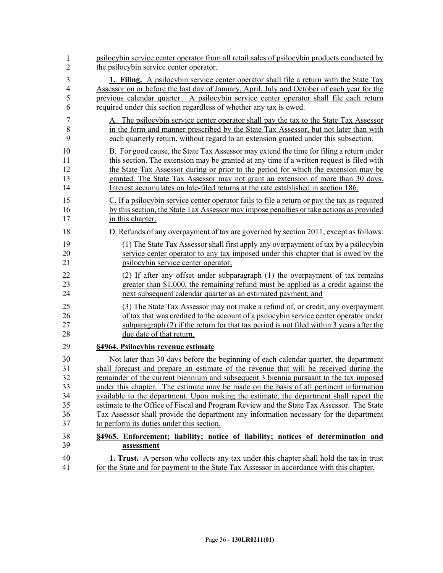| 1              | psilocybin service center operator from all retail sales of psilocybin products conducted by  |
|----------------|-----------------------------------------------------------------------------------------------|
| $\overline{2}$ | the psilocybin service center operator.                                                       |
| 3              | 1. Filing. A psilocybin service center operator shall file a return with the State Tax        |
| $\overline{4}$ | Assessor on or before the last day of January, April, July and October of each year for the   |
| 5              | previous calendar quarter. A psilocybin service center operator shall file each return        |
| 6              | required under this section regardless of whether any tax is owed.                            |
| $\overline{7}$ | A. The psilocybin service center operator shall pay the tax to the State Tax Assessor         |
| 8              | in the form and manner prescribed by the State Tax Assessor, but not later than with          |
| 9              | each quarterly return, without regard to an extension granted under this subsection.          |
| 10             | B. For good cause, the State Tax Assessor may extend the time for filing a return under       |
| 11             | this section. The extension may be granted at any time if a written request is filed with     |
| 12             | the State Tax Assessor during or prior to the period for which the extension may be           |
| 13             | granted. The State Tax Assessor may not grant an extension of more than 30 days.              |
| 14             | Interest accumulates on late-filed returns at the rate established in section 186.            |
| 15             | C. If a psilocybin service center operator fails to file a return or pay the tax as required  |
| 16             | by this section, the State Tax Assessor may impose penalties or take actions as provided      |
| 17             | in this chapter.                                                                              |
| 18             | D. Refunds of any overpayment of tax are governed by section 2011, except as follows:         |
| 19             | (1) The State Tax Assessor shall first apply any overpayment of tax by a psilocybin           |
| 20             | service center operator to any tax imposed under this chapter that is owed by the             |
| 21             | psilocybin service center operator;                                                           |
| 22             | (2) If after any offset under subparagraph (1) the overpayment of tax remains                 |
| 23             | greater than \$1,000, the remaining refund must be applied as a credit against the            |
| 24             | next subsequent calendar quarter as an estimated payment; and                                 |
| 25             | (3) The State Tax Assessor may not make a refund of, or credit, any overpayment               |
| 26             | of tax that was credited to the account of a psilocybin service center operator under         |
| 27             | subparagraph (2) if the return for that tax period is not filed within 3 years after the      |
| 28             | due date of that return.                                                                      |
| 29             | §4964. Psilocybin revenue estimate                                                            |
| 30             | Not later than 30 days before the beginning of each calendar quarter, the department          |
| 31             | shall forecast and prepare an estimate of the revenue that will be received during the        |
| 32             | remainder of the current biennium and subsequent 3 biennia pursuant to the tax imposed        |
| 33             | under this chapter. The estimate may be made on the basis of all pertinent information        |
| 34             | available to the department. Upon making the estimate, the department shall report the        |
| 35             | estimate to the Office of Fiscal and Program Review and the State Tax Assessor. The State     |
| 36             | Tax Assessor shall provide the department any information necessary for the department        |
| 37             | to perform its duties under this section.                                                     |
| 38             | §4965. Enforcement; liability; notice of liability; notices of determination and              |
| 39             | assessment                                                                                    |
| 40             | <b>1. Trust.</b> A person who collects any tax under this chapter shall hold the tax in trust |
| 41             | for the State and for payment to the State Tax Assessor in accordance with this chapter.      |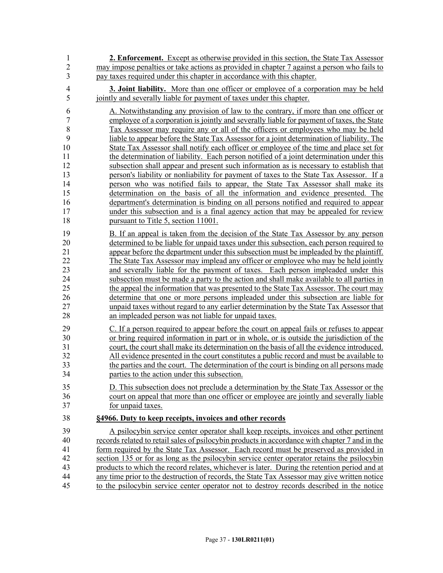| 1                                       | <b>2. Enforcement.</b> Except as otherwise provided in this section, the State Tax Assessor                                                                                                                                                                                                                                                                             |
|-----------------------------------------|-------------------------------------------------------------------------------------------------------------------------------------------------------------------------------------------------------------------------------------------------------------------------------------------------------------------------------------------------------------------------|
| $\overline{2}$                          | may impose penalties or take actions as provided in chapter 7 against a person who fails to                                                                                                                                                                                                                                                                             |
| 3                                       | pay taxes required under this chapter in accordance with this chapter.                                                                                                                                                                                                                                                                                                  |
| 4                                       | <b>3. Joint liability.</b> More than one officer or employee of a corporation may be held                                                                                                                                                                                                                                                                               |
| 5                                       | jointly and severally liable for payment of taxes under this chapter.                                                                                                                                                                                                                                                                                                   |
| 6<br>$\sqrt{ }$<br>$\,$ $\,$<br>9<br>10 | A. Notwithstanding any provision of law to the contrary, if more than one officer or<br>employee of a corporation is jointly and severally liable for payment of taxes, the State<br>Tax Assessor may require any or all of the officers or employees who may be held<br>liable to appear before the State Tax Assessor for a joint determination of liability. The     |
| 11<br>12<br>13                          | State Tax Assessor shall notify each officer or employee of the time and place set for<br>the determination of liability. Each person notified of a joint determination under this<br>subsection shall appear and present such information as is necessary to establish that<br>person's liability or nonliability for payment of taxes to the State Tax Assessor. If a |
| 14                                      | person who was notified fails to appear, the State Tax Assessor shall make its                                                                                                                                                                                                                                                                                          |
| 15                                      | determination on the basis of all the information and evidence presented. The                                                                                                                                                                                                                                                                                           |
| 16                                      | department's determination is binding on all persons notified and required to appear                                                                                                                                                                                                                                                                                    |
| 17                                      | under this subsection and is a final agency action that may be appealed for review                                                                                                                                                                                                                                                                                      |
| 18                                      | pursuant to Title 5, section 11001.                                                                                                                                                                                                                                                                                                                                     |
| 19                                      | B. If an appeal is taken from the decision of the State Tax Assessor by any person                                                                                                                                                                                                                                                                                      |
| 20                                      | determined to be liable for unpaid taxes under this subsection, each person required to                                                                                                                                                                                                                                                                                 |
| 21                                      | appear before the department under this subsection must be impleaded by the plaintiff.                                                                                                                                                                                                                                                                                  |
| 22                                      | The State Tax Assessor may implead any officer or employee who may be held jointly                                                                                                                                                                                                                                                                                      |
| 23                                      | and severally liable for the payment of taxes. Each person impleaded under this                                                                                                                                                                                                                                                                                         |
| 24                                      | subsection must be made a party to the action and shall make available to all parties in                                                                                                                                                                                                                                                                                |
| 25                                      | the appeal the information that was presented to the State Tax Assessor. The court may                                                                                                                                                                                                                                                                                  |
| 26                                      | determine that one or more persons impleaded under this subsection are liable for                                                                                                                                                                                                                                                                                       |
| 27                                      | unpaid taxes without regard to any earlier determination by the State Tax Assessor that                                                                                                                                                                                                                                                                                 |
| 28                                      | an impleaded person was not liable for unpaid taxes.                                                                                                                                                                                                                                                                                                                    |
| 29                                      | C. If a person required to appear before the court on appeal fails or refuses to appear                                                                                                                                                                                                                                                                                 |
| 30                                      | or bring required information in part or in whole, or is outside the jurisdiction of the                                                                                                                                                                                                                                                                                |
| 31                                      | court, the court shall make its determination on the basis of all the evidence introduced.                                                                                                                                                                                                                                                                              |
| 32                                      | All evidence presented in the court constitutes a public record and must be available to                                                                                                                                                                                                                                                                                |
| 33                                      | the parties and the court. The determination of the court is binding on all persons made                                                                                                                                                                                                                                                                                |
| 34                                      | parties to the action under this subsection.                                                                                                                                                                                                                                                                                                                            |
| 35                                      | D. This subsection does not preclude a determination by the State Tax Assessor or the                                                                                                                                                                                                                                                                                   |
| 36                                      | court on appeal that more than one officer or employee are jointly and severally liable                                                                                                                                                                                                                                                                                 |
| 37                                      | for unpaid taxes.                                                                                                                                                                                                                                                                                                                                                       |
| 38                                      | §4966. Duty to keep receipts, invoices and other records                                                                                                                                                                                                                                                                                                                |
| 39                                      | A psilocybin service center operator shall keep receipts, invoices and other pertinent                                                                                                                                                                                                                                                                                  |
| 40                                      | records related to retail sales of psilocybin products in accordance with chapter 7 and in the                                                                                                                                                                                                                                                                          |
| 41                                      | form required by the State Tax Assessor. Each record must be preserved as provided in                                                                                                                                                                                                                                                                                   |
| 42                                      | section 135 or for as long as the psilocybin service center operator retains the psilocybin                                                                                                                                                                                                                                                                             |
| 43                                      | products to which the record relates, whichever is later. During the retention period and at                                                                                                                                                                                                                                                                            |
| 44                                      | any time prior to the destruction of records, the State Tax Assessor may give written notice                                                                                                                                                                                                                                                                            |
| 45                                      | to the psilocybin service center operator not to destroy records described in the notice                                                                                                                                                                                                                                                                                |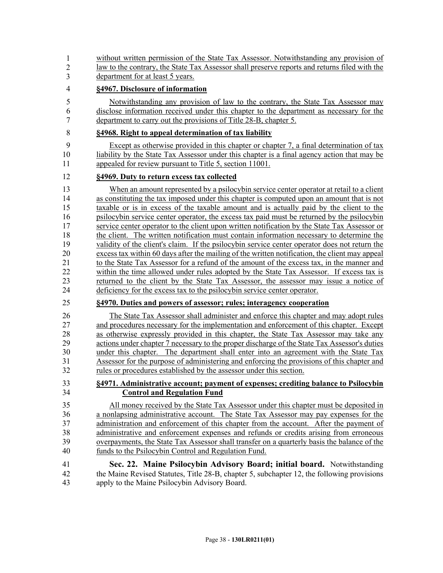| 1              | without written permission of the State Tax Assessor. Notwithstanding any provision of         |
|----------------|------------------------------------------------------------------------------------------------|
| $\overline{2}$ | law to the contrary, the State Tax Assessor shall preserve reports and returns filed with the  |
| 3              | department for at least 5 years.                                                               |
| 4              | §4967. Disclosure of information                                                               |
| 5              | Notwithstanding any provision of law to the contrary, the State Tax Assessor may               |
| 6              | disclose information received under this chapter to the department as necessary for the        |
| 7              | department to carry out the provisions of Title 28-B, chapter 5.                               |
| 8              | §4968. Right to appeal determination of tax liability                                          |
| 9              | Except as otherwise provided in this chapter or chapter 7, a final determination of tax        |
| 10             | liability by the State Tax Assessor under this chapter is a final agency action that may be    |
| 11             | appealed for review pursuant to Title 5, section 11001.                                        |
| 12             | §4969. Duty to return excess tax collected                                                     |
| 13             | When an amount represented by a psilocybin service center operator at retail to a client       |
| 14             | as constituting the tax imposed under this chapter is computed upon an amount that is not      |
| 15             | taxable or is in excess of the taxable amount and is actually paid by the client to the        |
| 16             | psilocybin service center operator, the excess tax paid must be returned by the psilocybin     |
| 17             | service center operator to the client upon written notification by the State Tax Assessor or   |
| 18             | the client. The written notification must contain information necessary to determine the       |
| 19             | validity of the client's claim. If the psilocybin service center operator does not return the  |
| 20             | excess tax within 60 days after the mailing of the written notification, the client may appeal |
| 21             | to the State Tax Assessor for a refund of the amount of the excess tax, in the manner and      |
| 22             | within the time allowed under rules adopted by the State Tax Assessor. If excess tax is        |
| 23             | returned to the client by the State Tax Assessor, the assessor may issue a notice of           |
| 24             | deficiency for the excess tax to the psilocybin service center operator.                       |
| 25             | §4970. Duties and powers of assessor; rules; interagency cooperation                           |
| 26             | The State Tax Assessor shall administer and enforce this chapter and may adopt rules           |
| 27             | and procedures necessary for the implementation and enforcement of this chapter. Except        |
| 28             | as otherwise expressly provided in this chapter, the State Tax Assessor may take any           |
| 29             | actions under chapter 7 necessary to the proper discharge of the State Tax Assessor's duties   |
| 30             | under this chapter. The department shall enter into an agreement with the State Tax            |
| 31             | Assessor for the purpose of administering and enforcing the provisions of this chapter and     |
| 32             | rules or procedures established by the assessor under this section.                            |
| 33             | §4971. Administrative account; payment of expenses; crediting balance to Psilocybin            |
| 34             | <b>Control and Regulation Fund</b>                                                             |
| 35             | All money received by the State Tax Assessor under this chapter must be deposited in           |
| 36             | a nonlapsing administrative account. The State Tax Assessor may pay expenses for the           |
| 37             | administration and enforcement of this chapter from the account. After the payment of          |
| 38             | administrative and enforcement expenses and refunds or credits arising from erroneous          |
| 39             | overpayments, the State Tax Assessor shall transfer on a quarterly basis the balance of the    |
| 40             | funds to the Psilocybin Control and Regulation Fund.                                           |
| 41             | Sec. 22. Maine Psilocybin Advisory Board; initial board. Notwithstanding                       |
| 42             | the Maine Revised Statutes, Title 28-B, chapter 5, subchapter 12, the following provisions     |
| 43             | apply to the Maine Psilocybin Advisory Board.                                                  |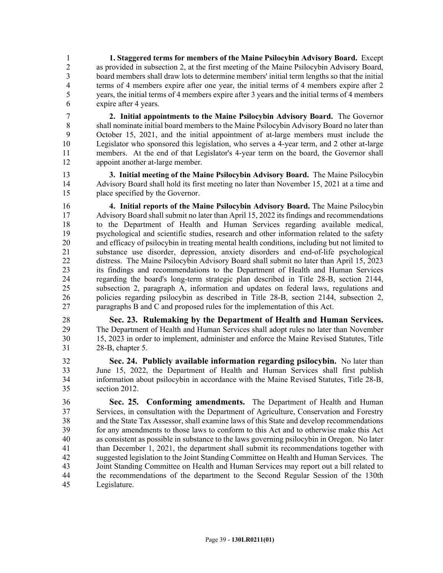1 **1. Staggered terms for members of the Maine Psilocybin Advisory Board.** Except 2 as provided in subsection 2, at the first meeting of the Maine Psilocybin Advisory Board,<br>3 board members shall draw lots to determine members' initial term lengths so that the initial 3 board members shall draw lots to determine members' initial term lengths so that the initial 4 terms of 4 members expire after one year, the initial terms of 4 members expire after 2 5 years, the initial terms of 4 members expire after 3 years and the initial terms of 4 members 6 expire after 4 years.

7 **2. Initial appointments to the Maine Psilocybin Advisory Board.** The Governor 8 shall nominate initial board members to the Maine Psilocybin Advisory Board no later than 9 October 15, 2021, and the initial appointment of at-large members must include the 10 Legislator who sponsored this legislation, who serves a 4-year term, and 2 other at-large 11 members. At the end of that Legislator's 4-year term on the board, the Governor shall 12 appoint another at-large member.

13 **3. Initial meeting of the Maine Psilocybin Advisory Board.** The Maine Psilocybin 14 Advisory Board shall hold its first meeting no later than November 15, 2021 at a time and 15 place specified by the Governor.

16 **4. Initial reports of the Maine Psilocybin Advisory Board.** The Maine Psilocybin 17 Advisory Board shall submit no later than April 15, 2022 its findings and recommendations 18 to the Department of Health and Human Services regarding available medical, 19 psychological and scientific studies, research and other information related to the safety 20 and efficacy of psilocybin in treating mental health conditions, including but not limited to 21 substance use disorder, depression, anxiety disorders and end-of-life psychological 22 distress. The Maine Psilocybin Advisory Board shall submit no later than April 15, 2023 23 its findings and recommendations to the Department of Health and Human Services 24 regarding the board's long-term strategic plan described in Title 28-B, section 2144, 25 subsection 2, paragraph A, information and updates on federal laws, regulations and 26 policies regarding psilocybin as described in Title 28-B, section 2144, subsection 2, 27 paragraphs B and C and proposed rules for the implementation of this Act.

28 **Sec. 23. Rulemaking by the Department of Health and Human Services.** 29 The Department of Health and Human Services shall adopt rules no later than November 30 15, 2023 in order to implement, administer and enforce the Maine Revised Statutes, Title 31 28-B, chapter 5.

32 **Sec. 24. Publicly available information regarding psilocybin.** No later than 33 June 15, 2022, the Department of Health and Human Services shall first publish 34 information about psilocybin in accordance with the Maine Revised Statutes, Title 28-B, 35 section 2012.

36 **Sec. 25. Conforming amendments.** The Department of Health and Human 37 Services, in consultation with the Department of Agriculture, Conservation and Forestry 38 and the State Tax Assessor, shall examine laws of this State and develop recommendations 39 for any amendments to those laws to conform to this Act and to otherwise make this Act 40 as consistent as possible in substance to the laws governing psilocybin in Oregon. No later 41 than December 1, 2021, the department shall submit its recommendations together with 42 suggested legislation to the Joint Standing Committee on Health and Human Services. The 43 Joint Standing Committee on Health and Human Services may report out a bill related to 44 the recommendations of the department to the Second Regular Session of the 130th 45 Legislature.